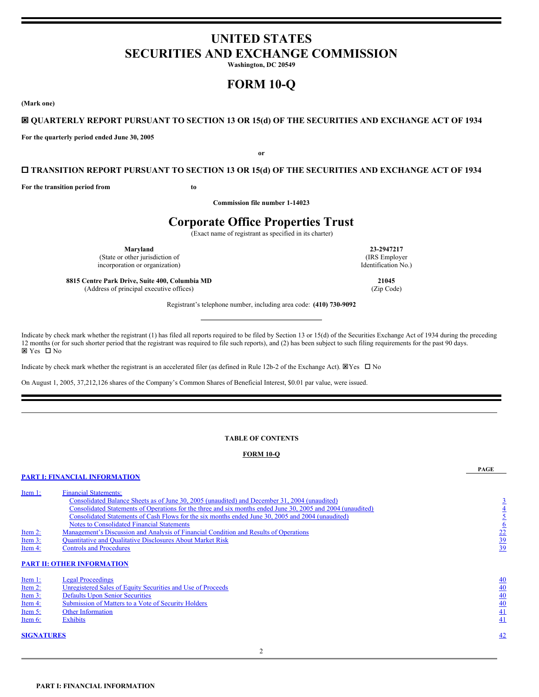# **UNITED STATES SECURITIES AND EXCHANGE COMMISSION**

**Washington, DC 20549**

# **FORM 10-Q**

**(Mark one)**

### ý **QUARTERLY REPORT PURSUANT TO SECTION 13 OR 15(d) OF THE SECURITIES AND EXCHANGE ACT OF 1934**

**For the quarterly period ended June 30, 2005**

**or**

### o **TRANSITION REPORT PURSUANT TO SECTION 13 OR 15(d) OF THE SECURITIES AND EXCHANGE ACT OF 1934**

**For the transition period from to**

**Commission file number 1-14023**

# **Corporate Office Properties Trust**

(Exact name of registrant as specified in its charter)

**Maryland 23-2947217**

(State or other jurisdiction of incorporation or organization)

**8815 Centre Park Drive, Suite 400, Columbia MD 21045** (Address of principal executive offices)

Registrant's telephone number, including area code: **(410) 730-9092**

Indicate by check mark whether the registrant (1) has filed all reports required to be filed by Section 13 or 15(d) of the Securities Exchange Act of 1934 during the preceding 12 months (or for such shorter period that the registrant was required to file such reports), and (2) has been subject to such filing requirements for the past 90 days.  $X$  Yes  $\Box$  No

Indicate by check mark whether the registrant is an accelerated filer (as defined in Rule 12b-2 of the Exchange Act).  $\boxtimes$  Yes  $\Box$  No

On August 1, 2005, 37,212,126 shares of the Company's Common Shares of Beneficial Interest, \$0.01 par value, were issued.

### **TABLE OF CONTENTS**

### **FORM 10-Q**

### **PART I: FINANCIAL [INFORMATION](#page-0-0)**

<span id="page-0-0"></span>

| Item 1:           | <b>Financial Statements:</b>                                                                                |                         |
|-------------------|-------------------------------------------------------------------------------------------------------------|-------------------------|
|                   | Consolidated Balance Sheets as of June 30, 2005 (unaudited) and December 31, 2004 (unaudited)               |                         |
|                   | Consolidated Statements of Operations for the three and six months ended June 30, 2005 and 2004 (unaudited) |                         |
|                   | Consolidated Statements of Cash Flows for the six months ended June 30, 2005 and 2004 (unaudited)           |                         |
|                   | <b>Notes to Consolidated Financial Statements</b>                                                           | $\overline{\mathbf{p}}$ |
| Item $2$ :        | Management's Discussion and Analysis of Financial Condition and Results of Operations                       |                         |
| Item $3$ :        | <b>Quantitative and Qualitative Disclosures About Market Risk</b>                                           | $\frac{22}{39}$         |
| Item 4:           | <b>Controls and Procedures</b>                                                                              |                         |
|                   |                                                                                                             |                         |
|                   | <b>PART II: OTHER INFORMATION</b>                                                                           |                         |
|                   |                                                                                                             |                         |
| Item $1$ :        | <b>Legal Proceedings</b>                                                                                    | $\underline{40}$        |
| Item 2:           | Unregistered Sales of Equity Securities and Use of Proceeds                                                 | $\overline{40}$         |
| Item 3:           | <b>Defaults Upon Senior Securities</b>                                                                      | $\overline{40}$         |
| Item 4:           | Submission of Matters to a Vote of Security Holders                                                         | $\overline{40}$         |
| Item 5:           | <b>Other Information</b>                                                                                    | 41                      |
| Item 6:           | <b>Exhibits</b>                                                                                             | 41                      |
|                   |                                                                                                             |                         |
| <b>SIGNATURES</b> |                                                                                                             | 42                      |
|                   |                                                                                                             |                         |
|                   |                                                                                                             |                         |

(IRS Employer Identification No.)

**PAGE**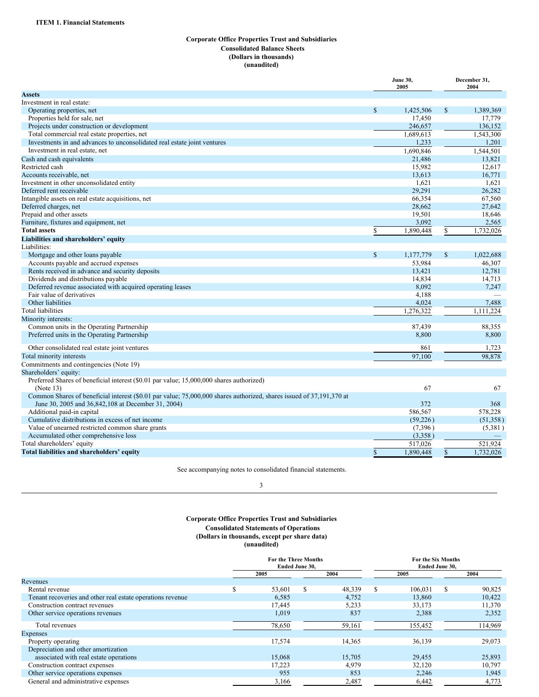### <span id="page-1-1"></span>**Corporate Office Properties Trust and Subsidiaries Consolidated Balance Sheets (Dollars in thousands) (unaudited)**

<span id="page-1-0"></span>

|                                                                                                                      |               | June 30,<br>2005 | December 31,<br>2004 |           |  |
|----------------------------------------------------------------------------------------------------------------------|---------------|------------------|----------------------|-----------|--|
| Assets                                                                                                               |               |                  |                      |           |  |
| Investment in real estate:                                                                                           |               |                  |                      |           |  |
| Operating properties, net                                                                                            | \$            | 1,425,506        | \$                   | 1,389,369 |  |
| Properties held for sale, net                                                                                        |               | 17,450           |                      | 17,779    |  |
| Projects under construction or development                                                                           |               | 246,657          |                      | 136.152   |  |
| Total commercial real estate properties, net                                                                         |               | 1,689,613        |                      | 1,543,300 |  |
| Investments in and advances to unconsolidated real estate joint ventures                                             |               | 1,233            |                      | 1,201     |  |
| Investment in real estate, net                                                                                       |               | 1,690,846        |                      | 1,544,501 |  |
| Cash and cash equivalents                                                                                            |               | 21,486           |                      | 13,821    |  |
| Restricted cash                                                                                                      |               | 15,982           |                      | 12,617    |  |
| Accounts receivable, net                                                                                             |               | 13,613           |                      | 16,771    |  |
| Investment in other unconsolidated entity                                                                            |               | 1,621            |                      | 1,621     |  |
| Deferred rent receivable                                                                                             |               | 29,291           |                      | 26,282    |  |
| Intangible assets on real estate acquisitions, net                                                                   |               | 66,354           |                      | 67,560    |  |
| Deferred charges, net                                                                                                |               | 28,662           |                      | 27,642    |  |
| Prepaid and other assets                                                                                             |               | 19,501           |                      | 18,646    |  |
| Furniture, fixtures and equipment, net                                                                               |               | 3,092            |                      | 2,565     |  |
| <b>Total assets</b>                                                                                                  | $\mathbf S$   | 1,890,448        | \$                   | 1,732,026 |  |
| Liabilities and shareholders' equity                                                                                 |               |                  |                      |           |  |
| Liabilities:                                                                                                         |               |                  |                      |           |  |
| Mortgage and other loans payable                                                                                     | $\mathbf S$   | 1,177,779        | $\mathcal{S}$        | 1,022,688 |  |
| Accounts payable and accrued expenses                                                                                |               | 53,984           |                      | 46.307    |  |
| Rents received in advance and security deposits                                                                      |               | 13,421           |                      | 12,781    |  |
| Dividends and distributions payable                                                                                  |               | 14,834           |                      | 14,713    |  |
| Deferred revenue associated with acquired operating leases                                                           |               | 8,092            |                      | 7,247     |  |
| Fair value of derivatives                                                                                            |               | 4,188            |                      |           |  |
| Other liabilities                                                                                                    |               | 4,024            |                      | 7,488     |  |
| <b>Total liabilities</b>                                                                                             |               | 1,276,322        |                      | 1,111,224 |  |
| Minority interests:                                                                                                  |               |                  |                      |           |  |
| Common units in the Operating Partnership                                                                            |               | 87,439           |                      | 88,355    |  |
| Preferred units in the Operating Partnership                                                                         |               | 8,800            |                      | 8,800     |  |
|                                                                                                                      |               |                  |                      |           |  |
| Other consolidated real estate joint ventures                                                                        |               | 861              |                      | 1,723     |  |
| Total minority interests                                                                                             |               | 97.100           |                      | 98.878    |  |
| Commitments and contingencies (Note 19)<br>Shareholders' equity:                                                     |               |                  |                      |           |  |
| Preferred Shares of beneficial interest (\$0.01 par value; 15,000,000 shares authorized)                             |               |                  |                      |           |  |
| (Note 13)                                                                                                            |               | 67               |                      | 67        |  |
| Common Shares of beneficial interest (\$0.01 par value; 75,000,000 shares authorized, shares issued of 37,191,370 at |               |                  |                      |           |  |
| June 30, 2005 and 36,842,108 at December 31, 2004)                                                                   |               | 372              |                      | 368       |  |
| Additional paid-in capital                                                                                           |               | 586,567          |                      | 578,228   |  |
| Cumulative distributions in excess of net income                                                                     |               | (59,226)         |                      | (51, 358) |  |
| Value of unearned restricted common share grants                                                                     |               | (7,396)          |                      | (5,381)   |  |
| Accumulated other comprehensive loss                                                                                 |               | (3,358)          |                      |           |  |
| Total shareholders' equity                                                                                           |               | 517,026          |                      | 521,924   |  |
| Total liabilities and shareholders' equity                                                                           | <sup>\$</sup> | 1.890.448        |                      |           |  |
|                                                                                                                      |               |                  | \$                   | 1,732,026 |  |

See accompanying notes to consolidated financial statements.

3

**Corporate Office Properties Trust and Subsidiaries**

<span id="page-1-2"></span>**Consolidated Statements of Operations (Dollars in thousands, except per share data) (unaudited)**

|                                                            |    | <b>For the Three Months</b><br>Ended June 30, |   |        |   | For the Six Months<br>Ended June 30, |    |         |  |
|------------------------------------------------------------|----|-----------------------------------------------|---|--------|---|--------------------------------------|----|---------|--|
|                                                            |    | 2005                                          |   | 2004   |   | 2005                                 |    | 2004    |  |
| Revenues                                                   |    |                                               |   |        |   |                                      |    |         |  |
| Rental revenue                                             | J. | 53,601                                        | S | 48,339 | S | 106,031                              | \$ | 90,825  |  |
| Tenant recoveries and other real estate operations revenue |    | 6,585                                         |   | 4,752  |   | 13,860                               |    | 10,422  |  |
| Construction contract revenues                             |    | 17.445                                        |   | 5,233  |   | 33,173                               |    | 11,370  |  |
| Other service operations revenues                          |    | 1,019                                         |   | 837    |   | 2,388                                |    | 2,352   |  |
| Total revenues                                             |    | 78,650                                        |   | 59,161 |   | 155,452                              |    | 114,969 |  |
| <b>Expenses</b>                                            |    |                                               |   |        |   |                                      |    |         |  |
| Property operating                                         |    | 17,574                                        |   | 14,365 |   | 36,139                               |    | 29,073  |  |
| Depreciation and other amortization                        |    |                                               |   |        |   |                                      |    |         |  |
| associated with real estate operations                     |    | 15,068                                        |   | 15,705 |   | 29,455                               |    | 25,893  |  |
| Construction contract expenses                             |    | 17,223                                        |   | 4,979  |   | 32,120                               |    | 10,797  |  |
| Other service operations expenses                          |    | 955                                           |   | 853    |   | 2,246                                |    | 1,945   |  |
| General and administrative expenses                        |    | 3,166                                         |   | 2,487  |   | 6,442                                |    | 4,773   |  |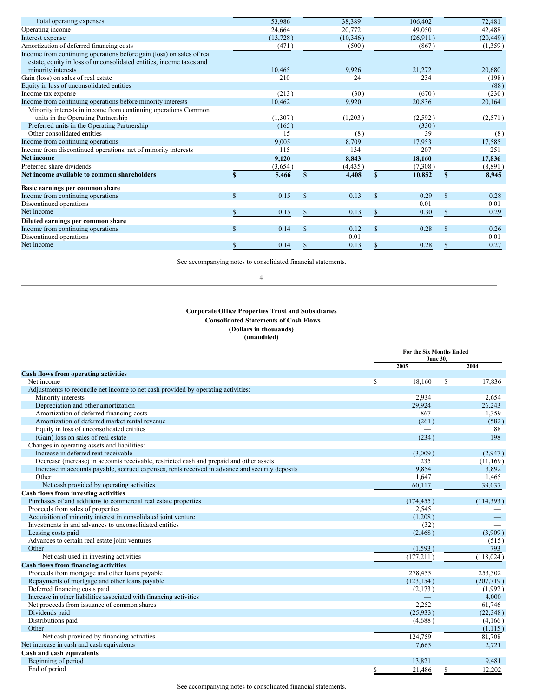| Total operating expenses                                              |               | 53,986    |              | 38,389    |              | 106,402  |               | 72,481    |
|-----------------------------------------------------------------------|---------------|-----------|--------------|-----------|--------------|----------|---------------|-----------|
| Operating income                                                      |               | 24.664    |              | 20,772    |              | 49,050   |               | 42,488    |
| Interest expense                                                      |               | (13, 728) |              | (10, 346) |              | (26,911) |               | (20, 449) |
| Amortization of deferred financing costs                              |               | (471)     |              | (500)     |              | (867)    |               | (1,359)   |
| Income from continuing operations before gain (loss) on sales of real |               |           |              |           |              |          |               |           |
| estate, equity in loss of unconsolidated entities, income taxes and   |               |           |              |           |              |          |               |           |
| minority interests                                                    |               | 10,465    |              | 9.926     |              | 21,272   |               | 20,680    |
| Gain (loss) on sales of real estate                                   |               | 210       |              | 24        |              | 234      |               | (198)     |
| Equity in loss of unconsolidated entities                             |               |           |              |           |              |          |               | (88)      |
| Income tax expense                                                    |               | (213)     |              | (30)      |              | (670)    |               | (230)     |
| Income from continuing operations before minority interests           |               | 10,462    |              | 9,920     |              | 20,836   |               | 20,164    |
| Minority interests in income from continuing operations Common        |               |           |              |           |              |          |               |           |
| units in the Operating Partnership                                    |               | (1,307)   |              | (1,203)   |              | (2,592)  |               | (2,571)   |
| Preferred units in the Operating Partnership                          |               | (165)     |              |           |              | (330)    |               |           |
| Other consolidated entities                                           |               | 15        |              | (8)       |              | 39       |               | (8)       |
| Income from continuing operations                                     |               | 9.005     |              | 8,709     |              | 17,953   |               | 17,585    |
| Income from discontinued operations, net of minority interests        |               | 115       |              | 134       |              | 207      |               | 251       |
| <b>Net income</b>                                                     |               | 9,120     |              | 8,843     |              | 18,160   |               | 17,836    |
| Preferred share dividends                                             |               | (3,654)   |              | (4, 435)  |              | (7,308)  |               | (8,891)   |
| Net income available to common shareholders                           |               | 5,466     |              | 4,408     |              | 10,852   | \$            | 8,945     |
| Basic earnings per common share                                       |               |           |              |           |              |          |               |           |
| Income from continuing operations                                     | $\mathcal{S}$ | 0.15      |              | 0.13      |              | 0.29     | <sup>\$</sup> | 0.28      |
| Discontinued operations                                               |               |           |              |           |              | 0.01     |               | 0.01      |
| Net income                                                            |               | 0.15      | $\mathbb{S}$ | 0.13      | \$.          | 0.30     | \$            | 0.29      |
| Diluted earnings per common share                                     |               |           |              |           |              |          |               |           |
| Income from continuing operations                                     | $\mathbb{S}$  | 0.14      | \$           | 0.12      | $\mathbb{S}$ | 0.28     | \$            | 0.26      |
| Discontinued operations                                               |               |           |              | 0.01      |              |          |               | 0.01      |
| Net income                                                            |               | 0.14      |              | 0.13      |              | 0.28     |               | 0.27      |
|                                                                       |               |           |              |           |              |          |               |           |

See accompanying notes to consolidated financial statements.

4

### <span id="page-2-0"></span>**Corporate Office Properties Trust and Subsidiaries Consolidated Statements of Cash Flows (Dollars in thousands) (unaudited)**

|                                                                                                 |    | For the Six Months Ended<br><b>June 30.</b> |              |            |
|-------------------------------------------------------------------------------------------------|----|---------------------------------------------|--------------|------------|
|                                                                                                 |    | 2005                                        |              | 2004       |
| Cash flows from operating activities                                                            |    |                                             |              |            |
| Net income                                                                                      | S  | 18.160                                      | S            | 17,836     |
| Adjustments to reconcile net income to net cash provided by operating activities:               |    |                                             |              |            |
| Minority interests                                                                              |    | 2,934                                       |              | 2,654      |
| Depreciation and other amortization                                                             |    | 29,924                                      |              | 26,243     |
| Amortization of deferred financing costs                                                        |    | 867                                         |              | 1,359      |
| Amortization of deferred market rental revenue                                                  |    | (261)                                       |              | (582)      |
| Equity in loss of unconsolidated entities                                                       |    |                                             |              | 88         |
| (Gain) loss on sales of real estate                                                             |    | (234)                                       |              | 198        |
| Changes in operating assets and liabilities:                                                    |    |                                             |              |            |
| Increase in deferred rent receivable                                                            |    | (3,009)                                     |              | (2,947)    |
| Decrease (increase) in accounts receivable, restricted cash and prepaid and other assets        |    | 235                                         |              | (11,169)   |
| Increase in accounts payable, accrued expenses, rents received in advance and security deposits |    | 9,854                                       |              | 3,892      |
| Other                                                                                           |    | 1,647                                       |              | 1,465      |
| Net cash provided by operating activities                                                       |    | 60.117                                      |              | 39,037     |
| Cash flows from investing activities                                                            |    |                                             |              |            |
| Purchases of and additions to commercial real estate properties                                 |    | (174, 455)                                  |              | (114,393)  |
| Proceeds from sales of properties                                                               |    | 2,545                                       |              |            |
| Acquisition of minority interest in consolidated joint venture                                  |    | (1,208)                                     |              |            |
| Investments in and advances to unconsolidated entities                                          |    | (32)                                        |              |            |
| Leasing costs paid                                                                              |    | (2, 468)                                    |              | (3,909)    |
| Advances to certain real estate joint ventures                                                  |    |                                             |              | (515)      |
| Other                                                                                           |    | (1, 593)                                    |              | 793        |
| Net cash used in investing activities                                                           |    | (177, 211)                                  |              | (118,024)  |
| <b>Cash flows from financing activities</b>                                                     |    |                                             |              |            |
| Proceeds from mortgage and other loans payable                                                  |    | 278,455                                     |              | 253,302    |
| Repayments of mortgage and other loans payable                                                  |    | (123, 154)                                  |              | (207, 719) |
| Deferred financing costs paid                                                                   |    | (2,173)                                     |              | (1,992)    |
| Increase in other liabilities associated with financing activities                              |    |                                             |              | 4,000      |
| Net proceeds from issuance of common shares                                                     |    | 2,252                                       |              | 61,746     |
| Dividends paid                                                                                  |    | (25,933)                                    |              | (22, 348)  |
| Distributions paid                                                                              |    | (4,688)                                     |              | (4,166)    |
| Other                                                                                           |    |                                             |              | (1,115)    |
| Net cash provided by financing activities                                                       |    | 124,759                                     |              | 81,708     |
| Net increase in cash and cash equivalents                                                       |    | 7,665                                       |              | 2,721      |
| Cash and cash equivalents                                                                       |    |                                             |              |            |
| Beginning of period                                                                             |    | 13,821                                      |              | 9,481      |
| End of period                                                                                   | \$ | 21.486                                      | $\mathbb{S}$ | 12.202     |
|                                                                                                 |    |                                             |              |            |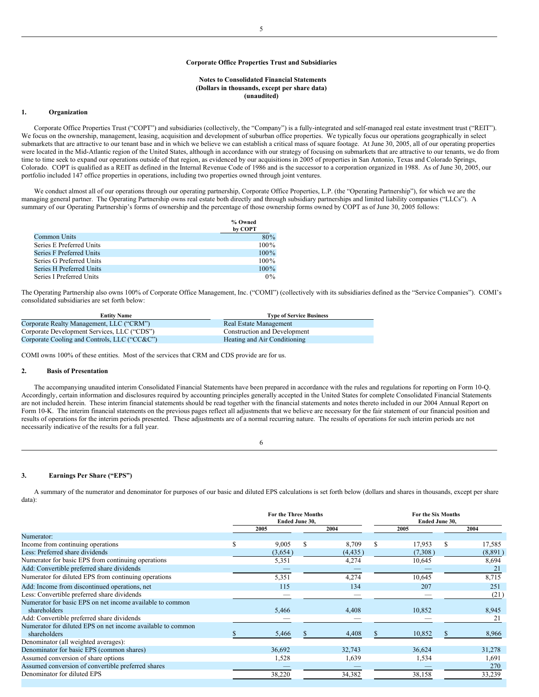### **Corporate Office Properties Trust and Subsidiaries**

### <span id="page-3-0"></span>**Notes to Consolidated Financial Statements (Dollars in thousands, except per share data) (unaudited)**

### **1. Organization**

Corporate Office Properties Trust ("COPT") and subsidiaries (collectively, the "Company") is a fully-integrated and self-managed real estate investment trust ("REIT"). We focus on the ownership, management, leasing, acquisition and development of suburban office properties. We typically focus our operations geographically in select submarkets that are attractive to our tenant base and in which we believe we can establish a critical mass of square footage. At June 30, 2005, all of our operating properties were located in the Mid-Atlantic region of the United States, although in accordance with our strategy of focusing on submarkets that are attractive to our tenants, we do from time to time seek to expand our operations outside of that region, as evidenced by our acquisitions in 2005 of properties in San Antonio, Texas and Colorado Springs, Colorado. COPT is qualified as a REIT as defined in the Internal Revenue Code of 1986 and is the successor to a corporation organized in 1988. As of June 30, 2005, our portfolio included 147 office properties in operations, including two properties owned through joint ventures.

We conduct almost all of our operations through our operating partnership, Corporate Office Properties, L.P. (the "Operating Partnership"), for which we are the managing general partner. The Operating Partnership owns real estate both directly and through subsidiary partnerships and limited liability companies ("LLCs"). A summary of our Operating Partnership's forms of ownership and the percentage of those ownership forms owned by COPT as of June 30, 2005 follows:

|                          | % Owned<br>by COPT |
|--------------------------|--------------------|
| Common Units             | 80%                |
| Series E Preferred Units | $100\%$            |
| Series F Preferred Units | $100\%$            |
| Series G Preferred Units | $100\%$            |
| Series H Preferred Units | $100\%$            |
| Series I Preferred Units | $0\%$              |

The Operating Partnership also owns 100% of Corporate Office Management, Inc. ("COMI") (collectively with its subsidiaries defined as the "Service Companies"). COMI's consolidated subsidiaries are set forth below:

| <b>Entity Name</b>                           | <b>Type of Service Business</b> |
|----------------------------------------------|---------------------------------|
| Corporate Realty Management, LLC ("CRM")     | Real Estate Management          |
| Corporate Development Services, LLC ("CDS")  | Construction and Development    |
| Corporate Cooling and Controls, LLC ("CC&C") | Heating and Air Conditioning    |

COMI owns 100% of these entities. Most of the services that CRM and CDS provide are for us.

### **2. Basis of Presentation**

The accompanying unaudited interim Consolidated Financial Statements have been prepared in accordance with the rules and regulations for reporting on Form 10-Q. Accordingly, certain information and disclosures required by accounting principles generally accepted in the United States for complete Consolidated Financial Statements are not included herein. These interim financial statements should be read together with the financial statements and notes thereto included in our 2004 Annual Report on Form 10-K. The interim financial statements on the previous pages reflect all adjustments that we believe are necessary for the fair statement of our financial position and results of operations for the interim periods presented. These adjustments are of a normal recurring nature. The results of operations for such interim periods are not necessarily indicative of the results for a full year.

### **3. Earnings Per Share ("EPS")**

A summary of the numerator and denominator for purposes of our basic and diluted EPS calculations is set forth below (dollars and shares in thousands, except per share data):

|                                                             | <b>For the Three Months</b><br>Ended June 30, |         |   | For the Six Months<br>Ended June 30, |  |         |   |         |
|-------------------------------------------------------------|-----------------------------------------------|---------|---|--------------------------------------|--|---------|---|---------|
|                                                             |                                               | 2005    |   | 2004                                 |  | 2005    |   | 2004    |
| Numerator:                                                  |                                               |         |   |                                      |  |         |   |         |
| Income from continuing operations                           |                                               | 9,005   | S | 8,709                                |  | 17,953  | S | 17,585  |
| Less: Preferred share dividends                             |                                               | (3,654) |   | (4, 435)                             |  | (7,308) |   | (8,891) |
| Numerator for basic EPS from continuing operations          |                                               | 5,351   |   | 4,274                                |  | 10,645  |   | 8,694   |
| Add: Convertible preferred share dividends                  |                                               |         |   |                                      |  |         |   | 21      |
| Numerator for diluted EPS from continuing operations        |                                               | 5,351   |   | 4,274                                |  | 10,645  |   | 8,715   |
| Add: Income from discontinued operations, net               |                                               | 115     |   | 134                                  |  | 207     |   | 251     |
| Less: Convertible preferred share dividends                 |                                               |         |   |                                      |  |         |   | (21)    |
| Numerator for basic EPS on net income available to common   |                                               |         |   |                                      |  |         |   |         |
| shareholders                                                |                                               | 5,466   |   | 4,408                                |  | 10,852  |   | 8,945   |
| Add: Convertible preferred share dividends                  |                                               |         |   |                                      |  |         |   | 21      |
| Numerator for diluted EPS on net income available to common |                                               |         |   |                                      |  |         |   |         |
| shareholders                                                |                                               | 5,466   |   | 4,408                                |  | 10,852  |   | 8,966   |
| Denominator (all weighted averages):                        |                                               |         |   |                                      |  |         |   |         |
| Denominator for basic EPS (common shares)                   |                                               | 36,692  |   | 32,743                               |  | 36,624  |   | 31,278  |
| Assumed conversion of share options                         |                                               | 1,528   |   | 1,639                                |  | 1,534   |   | 1,691   |
| Assumed conversion of convertible preferred shares          |                                               |         |   |                                      |  |         |   | 270     |
| Denominator for diluted EPS                                 |                                               | 38,220  |   | 34,382                               |  | 38,158  |   | 33,239  |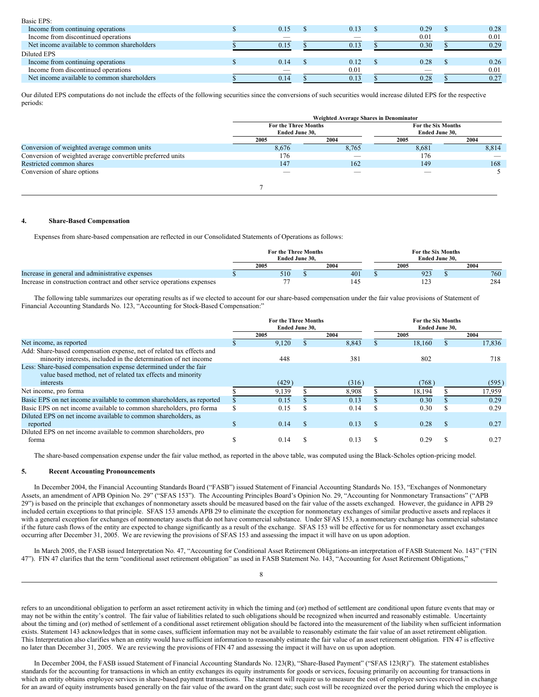| Basic EPS:                                  |      |      |      |      |
|---------------------------------------------|------|------|------|------|
| Income from continuing operations           | 0.15 | 0.13 | 0.29 | 0.28 |
| Income from discontinued operations         |      |      | 0.01 | 0.01 |
| Net income available to common shareholders | 0.15 | 0.1  | 0.30 | 0.29 |
| Diluted EPS                                 |      |      |      |      |
| Income from continuing operations           | 0.14 | 0.12 | 0.28 | 0.26 |
| Income from discontinued operations         |      | 0.01 |      | 0.01 |
| Net income available to common shareholders | 0.14 | 0.13 | 0.28 | 0.27 |
|                                             |      |      |      |      |

Our diluted EPS computations do not include the effects of the following securities since the conversions of such securities would increase diluted EPS for the respective periods:

|                                                            | Weighted Average Shares in Denominator |       |                    |       |  |  |  |  |  |  |
|------------------------------------------------------------|----------------------------------------|-------|--------------------|-------|--|--|--|--|--|--|
|                                                            | <b>For the Three Months</b>            |       | For the Six Months |       |  |  |  |  |  |  |
|                                                            | Ended June 30,                         |       | Ended June 30,     |       |  |  |  |  |  |  |
|                                                            | 2005                                   | 2004  | 2005               | 2004  |  |  |  |  |  |  |
| Conversion of weighted average common units                | 8.676                                  | 8,765 | 8,681              | 8,814 |  |  |  |  |  |  |
| Conversion of weighted average convertible preferred units | 176                                    | _     | 176                |       |  |  |  |  |  |  |
| Restricted common shares                                   | 147                                    | 162   | 149                | 168   |  |  |  |  |  |  |
| Conversion of share options                                |                                        | _     |                    |       |  |  |  |  |  |  |
|                                                            |                                        |       |                    |       |  |  |  |  |  |  |
|                                                            |                                        |       |                    |       |  |  |  |  |  |  |

### **4. Share-Based Compensation**

Expenses from share-based compensation are reflected in our Consolidated Statements of Operations as follows:

|                                                                         | <b>For the Three Months</b><br>Ended June 30. |      |  | <b>For the Six Months</b><br>Ended June 30. |      |  |      |
|-------------------------------------------------------------------------|-----------------------------------------------|------|--|---------------------------------------------|------|--|------|
|                                                                         |                                               | 2005 |  | 2004                                        | 2005 |  | 2004 |
| Increase in general and administrative expenses                         |                                               | 510  |  | 401                                         | 923  |  | 760  |
| Increase in construction contract and other service operations expenses |                                               |      |  | 145                                         |      |  | 284  |

The following table summarizes our operating results as if we elected to account for our share-based compensation under the fair value provisions of Statement of Financial Accounting Standards No. 123, "Accounting for Stock-Based Compensation:"

|                                                                       | <b>For the Three Months</b><br>Ended June 30, |       |               | For the Six Months<br>Ended June 30, |               |        |               |        |
|-----------------------------------------------------------------------|-----------------------------------------------|-------|---------------|--------------------------------------|---------------|--------|---------------|--------|
|                                                                       |                                               | 2005  |               | 2004                                 |               | 2005   |               | 2004   |
| Net income, as reported                                               |                                               | 9,120 |               | 8,843                                |               | 18.160 |               | 17,836 |
| Add: Share-based compensation expense, net of related tax effects and |                                               |       |               |                                      |               |        |               |        |
| minority interests, included in the determination of net income       |                                               | 448   |               | 381                                  |               | 802    |               | 718    |
| Less: Share-based compensation expense determined under the fair      |                                               |       |               |                                      |               |        |               |        |
| value based method, net of related tax effects and minority           |                                               |       |               |                                      |               |        |               |        |
| interests                                                             |                                               | (429) |               | (316)                                |               | (768)  |               | (595)  |
| Net income, pro forma                                                 |                                               | 9,139 |               | 8,908                                |               | 18,194 |               | 17,959 |
| Basic EPS on net income available to common shareholders, as reported |                                               | 0.15  |               | 0.13                                 |               | 0.30   |               | 0.29   |
| Basic EPS on net income available to common shareholders, pro forma   |                                               | 0.15  | ς             | 0.14                                 |               | 0.30   | S             | 0.29   |
| Diluted EPS on net income available to common shareholders, as        |                                               |       |               |                                      |               |        |               |        |
| reported                                                              |                                               | 0.14  | $\mathcal{S}$ | 0.13                                 | <sup>\$</sup> | 0.28   | $\mathcal{S}$ | 0.27   |
| Diluted EPS on net income available to common shareholders, pro       |                                               |       |               |                                      |               |        |               |        |
| forma                                                                 |                                               | 0.14  |               | 0.13                                 |               | 0.29   | S             | 0.27   |

The share-based compensation expense under the fair value method, as reported in the above table, was computed using the Black-Scholes option-pricing model.

#### **5. Recent Accounting Pronouncements**

In December 2004, the Financial Accounting Standards Board ("FASB") issued Statement of Financial Accounting Standards No. 153, "Exchanges of Nonmonetary Assets, an amendment of APB Opinion No. 29" ("SFAS 153"). The Accounting Principles Board's Opinion No. 29, "Accounting for Nonmonetary Transactions" ("APB 29") is based on the principle that exchanges of nonmonetary assets should be measured based on the fair value of the assets exchanged. However, the guidance in APB 29 included certain exceptions to that principle. SFAS 153 amends APB 29 to eliminate the exception for nonmonetary exchanges of similar productive assets and replaces it with a general exception for exchanges of nonmonetary assets that do not have commercial substance. Under SFAS 153, a nonmonetary exchange has commercial substance if the future cash flows of the entity are expected to change significantly as a result of the exchange. SFAS 153 will be effective for us for nonmonetary asset exchanges occurring after December 31, 2005. We are reviewing the provisions of SFAS 153 and assessing the impact it will have on us upon adoption.

In March 2005, the FASB issued Interpretation No. 47, "Accounting for Conditional Asset Retirement Obligations-an interpretation of FASB Statement No. 143" ("FIN 47"). FIN 47 clarifies that the term "conditional asset retirement obligation" as used in FASB Statement No. 143, "Accounting for Asset Retirement Obligations,"

refers to an unconditional obligation to perform an asset retirement activity in which the timing and (or) method of settlement are conditional upon future events that may or may not be within the entity's control. The fair value of liabilities related to such obligations should be recognized when incurred and reasonably estimable. Uncertainty about the timing and (or) method of settlement of a conditional asset retirement obligation should be factored into the measurement of the liability when sufficient information exists. Statement 143 acknowledges that in some cases, sufficient information may not be available to reasonably estimate the fair value of an asset retirement obligation. This Interpretation also clarifies when an entity would have sufficient information to reasonably estimate the fair value of an asset retirement obligation. FIN 47 is effective no later than December 31, 2005. We are reviewing the provisions of FIN 47 and assessing the impact it will have on us upon adoption.

In December 2004, the FASB issued Statement of Financial Accounting Standards No. 123(R), "Share-Based Payment" ("SFAS 123(R)"). The statement establishes standards for the accounting for transactions in which an entity exchanges its equity instruments for goods or services, focusing primarily on accounting for transactions in which an entity obtains employee services in share-based payment transactions. The statement will require us to measure the cost of employee services received in exchange for an award of equity instruments based generally on the fair value of the award on the grant date; such cost will be recognized over the period during which the employee is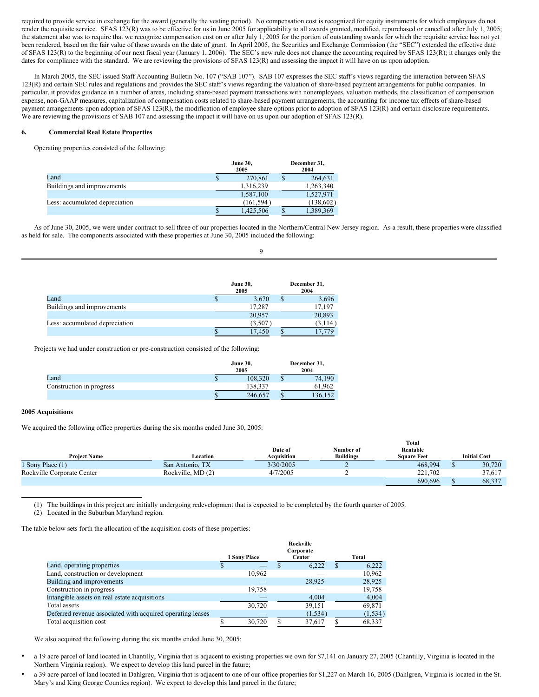required to provide service in exchange for the award (generally the vesting period). No compensation cost is recognized for equity instruments for which employees do not render the requisite service. SFAS 123(R) was to be effective for us in June 2005 for applicability to all awards granted, modified, repurchased or cancelled after July 1, 2005; the statement also was to require that we recognize compensation cost on or after July 1, 2005 for the portion of outstanding awards for which the requisite service has not yet been rendered, based on the fair value of those awards on the date of grant. In April 2005, the Securities and Exchange Commission (the "SEC") extended the effective date of SFAS 123(R) to the beginning of our next fiscal year (January 1, 2006). The SEC's new rule does not change the accounting required by SFAS 123(R); it changes only the dates for compliance with the standard. We are reviewing the provisions of SFAS 123(R) and assessing the impact it will have on us upon adoption.

In March 2005, the SEC issued Staff Accounting Bulletin No. 107 ("SAB 107"). SAB 107 expresses the SEC staff's views regarding the interaction between SFAS 123(R) and certain SEC rules and regulations and provides the SEC staff's views regarding the valuation of share-based payment arrangements for public companies. In particular, it provides guidance in a number of areas, including share-based payment transactions with nonemployees, valuation methods, the classification of compensation expense, non-GAAP measures, capitalization of compensation costs related to share-based payment arrangements, the accounting for income tax effects of share-based payment arrangements upon adoption of SFAS 123(R), the modification of employee share options prior to adoption of SFAS 123(R) and certain disclosure requirements. We are reviewing the provisions of SAB 107 and assessing the impact it will have on us upon our adoption of SFAS 123(R).

### **6. Commercial Real Estate Properties**

Operating properties consisted of the following:

|                                | <b>June 30,</b><br>2005 | December 31,<br>2004 |           |  |
|--------------------------------|-------------------------|----------------------|-----------|--|
| Land                           | 270,861                 |                      | 264,631   |  |
| Buildings and improvements     | 1,316,239               |                      | 1,263,340 |  |
|                                | 1,587,100               |                      | 1,527,971 |  |
| Less: accumulated depreciation | (161, 594)              |                      | (138,602) |  |
|                                | 1.425.506               |                      | 1,389,369 |  |

As of June 30, 2005, we were under contract to sell three of our properties located in the Northern/Central New Jersey region. As a result, these properties were classified as held for sale. The components associated with these properties at June 30, 2005 included the following:

 $\overline{Q}$ 

|                                | <b>June 30,</b><br>2005 | December 31,<br>2004 |         |  |
|--------------------------------|-------------------------|----------------------|---------|--|
| Land                           | 3.670                   | \$                   | 3,696   |  |
| Buildings and improvements     | 17,287                  |                      | 17,197  |  |
|                                | 20,957                  |                      | 20,893  |  |
| Less: accumulated depreciation | (3,507)                 |                      | (3,114) |  |
|                                | 17.450                  |                      |         |  |

Projects we had under construction or pre-construction consisted of the following:

|                          |    | <b>June 30,</b><br>2005 |    | December 31,<br>2004 |  |  |
|--------------------------|----|-------------------------|----|----------------------|--|--|
| Land                     | Φ  | 108.320                 | ۰D | 74.190               |  |  |
| Construction in progress |    | 138,337                 |    | 61.962               |  |  |
|                          | J. | 246,657                 |    | 136.152              |  |  |

### **2005 Acquisitions**

We acquired the following office properties during the six months ended June 30, 2005:

|                            |                   |             |                  | Total       |                     |
|----------------------------|-------------------|-------------|------------------|-------------|---------------------|
|                            |                   | Date of     | Number of        | Rentable    |                     |
| <b>Proiect Name</b>        | Location          | Acquisition | <b>Buildings</b> | Sauare Feet | <b>Initial Cost</b> |
| 1 Sony Place $(1)$         | San Antonio, TX   | 3/30/2005   |                  | 468,994     | 30,720              |
| Rockville Corporate Center | Rockville, MD (2) | 4/7/2005    |                  | 221,702     | 37.617              |
|                            |                   |             |                  | 690,696     | 68.337              |

(1) The buildings in this project are initially undergoing redevelopment that is expected to be completed by the fourth quarter of 2005.

(2) Located in the Suburban Maryland region.

The table below sets forth the allocation of the acquisition costs of these properties:

|                                                            |                        |        |  | Rockville<br>Corporate |          |          |  |
|------------------------------------------------------------|------------------------|--------|--|------------------------|----------|----------|--|
|                                                            | 1 Sony Place<br>Center |        |  |                        | Total    |          |  |
| Land, operating properties                                 |                        |        |  | 6,222                  | <b>S</b> | 6,222    |  |
| Land, construction or development                          |                        | 10,962 |  |                        |          | 10,962   |  |
| Building and improvements                                  |                        |        |  | 28,925                 |          | 28,925   |  |
| Construction in progress                                   |                        | 19,758 |  |                        |          | 19,758   |  |
| Intangible assets on real estate acquisitions              |                        |        |  | 4,004                  |          | 4,004    |  |
| Total assets                                               |                        | 30,720 |  | 39.151                 |          | 69,871   |  |
| Deferred revenue associated with acquired operating leases |                        |        |  | (1, 534)               |          | (1, 534) |  |
| Total acquisition cost                                     |                        | 30.720 |  | 37.617                 |          | 68,337   |  |

We also acquired the following during the six months ended June 30, 2005:

- a 19 acre parcel of land located in Chantilly, Virginia that is adjacent to existing properties we own for \$7,141 on January 27, 2005 (Chantilly, Virginia is located in the Northern Virginia region). We expect to develop this land parcel in the future;
- a 39 acre parcel of land located in Dahlgren, Virginia that is adjacent to one of our office properties for \$1,227 on March 16, 2005 (Dahlgren, Virginia is located in the St. Mary's and King George Counties region). We expect to develop this land parcel in the future;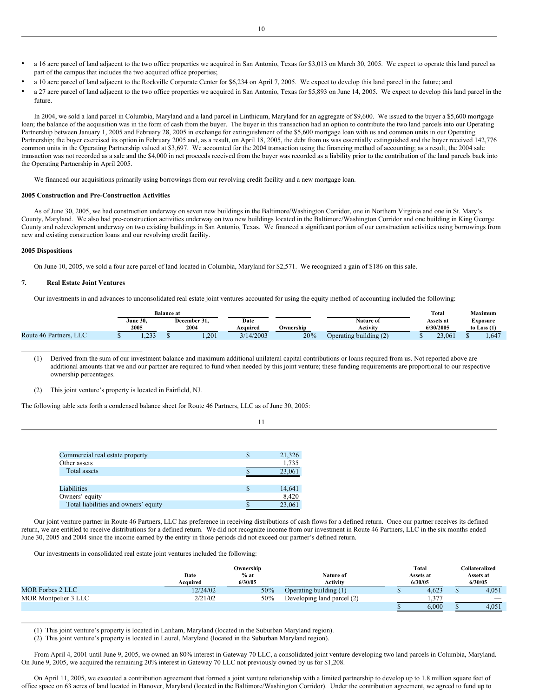- a 16 acre parcel of land adjacent to the two office properties we acquired in San Antonio, Texas for \$3,013 on March 30, 2005. We expect to operate this land parcel as part of the campus that includes the two acquired office properties;
- a 10 acre parcel of land adjacent to the Rockville Corporate Center for \$6,234 on April 7, 2005. We expect to develop this land parcel in the future; and
- a 27 acre parcel of land adjacent to the two office properties we acquired in San Antonio, Texas for \$5,893 on June 14, 2005. We expect to develop this land parcel in the future.

In 2004, we sold a land parcel in Columbia, Maryland and a land parcel in Linthicum, Maryland for an aggregate of \$9,600. We issued to the buyer a \$5,600 mortgage loan; the balance of the acquisition was in the form of cash from the buyer. The buyer in this transaction had an option to contribute the two land parcels into our Operating Partnership between January 1, 2005 and February 28, 2005 in exchange for extinguishment of the \$5,600 mortgage loan with us and common units in our Operating Partnership; the buyer exercised its option in February 2005 and, as a result, on April 18, 2005, the debt from us was essentially extinguished and the buyer received 142,776 common units in the Operating Partnership valued at \$3,697. We accounted for the 2004 transaction using the financing method of accounting; as a result, the 2004 sale transaction was not recorded as a sale and the \$4,000 in net proceeds received from the buyer was recorded as a liability prior to the contribution of the land parcels back into the Operating Partnership in April 2005.

We financed our acquisitions primarily using borrowings from our revolving credit facility and a new mortgage loan.

#### **2005 Construction and Pre-Construction Activities**

As of June 30, 2005, we had construction underway on seven new buildings in the Baltimore/Washington Corridor, one in Northern Virginia and one in St. Mary's County, Maryland. We also had pre-construction activities underway on two new buildings located in the Baltimore/Washington Corridor and one building in King George County and redevelopment underway on two existing buildings in San Antonio, Texas. We financed a significant portion of our construction activities using borrowings from new and existing construction loans and our revolving credit facility.

### **2005 Dispositions**

On June 10, 2005, we sold a four acre parcel of land located in Columbia, Maryland for \$2,571. We recognized a gain of \$186 on this sale.

#### **7. Real Estate Joint Ventures**

Our investments in and advances to unconsolidated real estate joint ventures accounted for using the equity method of accounting included the following:

|                        | <b>Balance at</b>               |              |      |          |           |           |                        | Total         | <b>Maximum</b> |
|------------------------|---------------------------------|--------------|------|----------|-----------|-----------|------------------------|---------------|----------------|
|                        | <b>June 30.</b><br>December 31. |              | Date |          | Nature of | Assets at | Exposure               |               |                |
|                        |                                 | 2005<br>2004 |      | Acquired | Ownership | Activity  | 6/30/2005              | to Loss $(1)$ |                |
| Route 46 Partners, LLC |                                 | $\sim$       |      | 1.201    | 3/14/2003 | 20%       | Operating building (2) | 23,061        | .647           |

(1) Derived from the sum of our investment balance and maximum additional unilateral capital contributions or loans required from us. Not reported above are additional amounts that we and our partner are required to fund when needed by this joint venture; these funding requirements are proportional to our respective ownership percentages.

11

(2) This joint venture's property is located in Fairfield, NJ.

The following table sets forth a condensed balance sheet for Route 46 Partners, LLC as of June 30, 2005:

| Commercial real estate property      | 21,326 |
|--------------------------------------|--------|
| Other assets                         | 1,735  |
| Total assets                         | 23,061 |
|                                      |        |
| Liabilities                          | 14,641 |
| Owners' equity                       | 8,420  |
| Total liabilities and owners' equity | 23,061 |

Our joint venture partner in Route 46 Partners, LLC has preference in receiving distributions of cash flows for a defined return. Once our partner receives its defined return, we are entitled to receive distributions for a defined return. We did not recognize income from our investment in Route 46 Partners, LLC in the six months ended June 30, 2005 and 2004 since the income earned by the entity in those periods did not exceed our partner's defined return.

Our investments in consolidated real estate joint ventures included the following:

|                         |                  | Ownership         |                              |  | Total                | Collateralized |                          |  |
|-------------------------|------------------|-------------------|------------------------------|--|----------------------|----------------|--------------------------|--|
|                         | Date<br>Acquired | $%$ at<br>6/30/05 | Nature of<br><b>Activity</b> |  | Assets at<br>6/30/05 |                | Assets at<br>6/30/05     |  |
| <b>MOR Forbes 2 LLC</b> | 12/24/02         | 50%               | Operating building $(1)$     |  | 4.623                |                | 4.051                    |  |
| MOR Montpelier 3 LLC    | 2/21/02          | 50%               | Developing land parcel (2)   |  | 1.377                |                | $\overline{\phantom{a}}$ |  |
|                         |                  |                   |                              |  | 6.000                |                | 4.051                    |  |

(1) This joint venture's property is located in Lanham, Maryland (located in the Suburban Maryland region).

(2) This joint venture's property is located in Laurel, Maryland (located in the Suburban Maryland region).

From April 4, 2001 until June 9, 2005, we owned an 80% interest in Gateway 70 LLC, a consolidated joint venture developing two land parcels in Columbia, Maryland. On June 9, 2005, we acquired the remaining 20% interest in Gateway 70 LLC not previously owned by us for \$1,208.

On April 11, 2005, we executed a contribution agreement that formed a joint venture relationship with a limited partnership to develop up to 1.8 million square feet of office space on 63 acres of land located in Hanover, Maryland (located in the Baltimore/Washington Corridor). Under the contribution agreement, we agreed to fund up to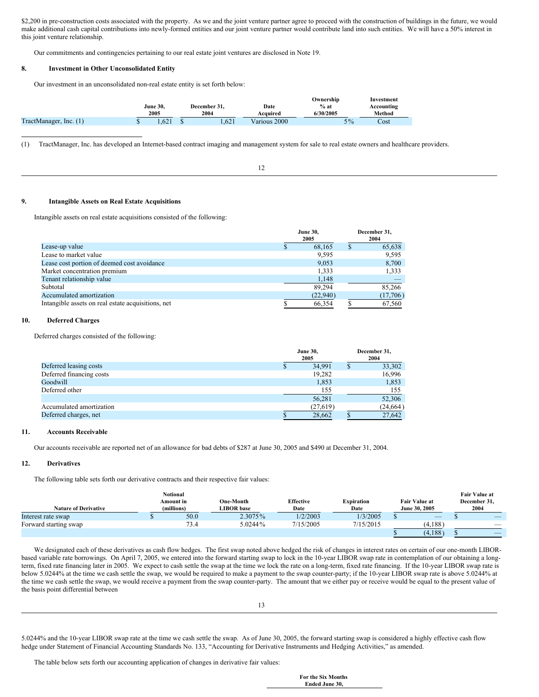\$2,200 in pre-construction costs associated with the property. As we and the joint venture partner agree to proceed with the construction of buildings in the future, we would make additional cash capital contributions into newly-formed entities and our joint venture partner would contribute land into such entities. We will have a 50% interest in this joint venture relationship.

Our commitments and contingencies pertaining to our real estate joint ventures are disclosed in Note 19.

### **8. Investment in Other Unconsolidated Entity**

Our investment in an unconsolidated non-real estate entity is set forth below:

|                        |          |      |      |              |                | Ownership | Investment |
|------------------------|----------|------|------|--------------|----------------|-----------|------------|
|                        | June 30. |      |      | December 31. | $%$ at<br>Date |           | Accounting |
|                        |          | 2005 | 2004 |              | Acauired       | 6/30/2005 | Method     |
| TractManager, Inc. (1) |          | .621 |      | .621         | Various 2000   | $5\%$     | $\cos t$   |

(1) TractManager, Inc. has developed an Internet-based contract imaging and management system for sale to real estate owners and healthcare providers.

### **9. Intangible Assets on Real Estate Acquisitions**

Intangible assets on real estate acquisitions consisted of the following:

|                                                    | <b>June 30.</b><br>2005 | December 31.<br>2004 |          |  |
|----------------------------------------------------|-------------------------|----------------------|----------|--|
| Lease-up value                                     | 68.165                  |                      | 65,638   |  |
| Lease to market value                              | 9,595                   |                      | 9,595    |  |
| Lease cost portion of deemed cost avoidance        | 9,053                   |                      | 8,700    |  |
| Market concentration premium                       | 1.333                   |                      | 1,333    |  |
| Tenant relationship value                          | 1,148                   |                      |          |  |
| Subtotal                                           | 89.294                  |                      | 85,266   |  |
| Accumulated amortization                           | (22,940)                |                      | (17,706) |  |
| Intangible assets on real estate acquisitions, net | 66,354                  |                      | 67,560   |  |

### **10. Deferred Charges**

Deferred charges consisted of the following:

|                          | <b>June 30,</b><br>2005 |  |           |  |
|--------------------------|-------------------------|--|-----------|--|
| Deferred leasing costs   | 34,991                  |  | 33,302    |  |
| Deferred financing costs | 19,282                  |  | 16,996    |  |
| Goodwill                 | 1,853                   |  | 1,853     |  |
| Deferred other           | 155                     |  | 155       |  |
|                          | 56,281                  |  | 52,306    |  |
| Accumulated amortization | (27, 619)               |  | (24, 664) |  |
| Deferred charges, net    | 28,662                  |  | 27,642    |  |

### **11. Accounts Receivable**

Our accounts receivable are reported net of an allowance for bad debts of \$287 at June 30, 2005 and \$490 at December 31, 2004.

### **12. Derivatives**

The following table sets forth our derivative contracts and their respective fair values:

| <b>Nature of Derivative</b> | <b>Notional</b><br>Amount in<br>(millions) | <b>One-Month</b><br><b>LIBOR</b> base | <b>Effective</b><br>Date | Expiration<br>Date | <b>Fair Value at</b><br>June 30, 2005 | <b>Fair Value at</b><br>December 31,<br>2004 |
|-----------------------------|--------------------------------------------|---------------------------------------|--------------------------|--------------------|---------------------------------------|----------------------------------------------|
| Interest rate swap          | 50.0                                       | $2.3075\%$                            | 1/2/2003                 | 1/3/2005           | $\overline{\phantom{a}}$              | _                                            |
| Forward starting swap       | 73.4                                       | 5.0244%                               | 7/15/2005                | 7/15/2015          | (4.188)                               | $\overline{\phantom{a}}$                     |
|                             |                                            |                                       |                          |                    | (4,188)                               | _                                            |

We designated each of these derivatives as cash flow hedges. The first swap noted above hedged the risk of changes in interest rates on certain of our one-month LIBORbased variable rate borrowings. On April 7, 2005, we entered into the forward starting swap to lock in the 10-year LIBOR swap rate in contemplation of our obtaining a longterm, fixed rate financing later in 2005. We expect to cash settle the swap at the time we lock the rate on a long-term, fixed rate financing. If the 10-year LIBOR swap rate is below 5.0244% at the time we cash settle the swap, we would be required to make a payment to the swap counter-party; if the 10-year LIBOR swap rate is above 5.0244% at the time we cash settle the swap, we would receive a payment from the swap counter-party. The amount that we either pay or receive would be equal to the present value of the basis point differential between

13

5.0244% and the 10-year LIBOR swap rate at the time we cash settle the swap. As of June 30, 2005, the forward starting swap is considered a highly effective cash flow hedge under Statement of Financial Accounting Standards No. 133, "Accounting for Derivative Instruments and Hedging Activities," as amended.

The table below sets forth our accounting application of changes in derivative fair values:

| <b>For the Six Months</b> |  |
|---------------------------|--|
| Ended June 30,            |  |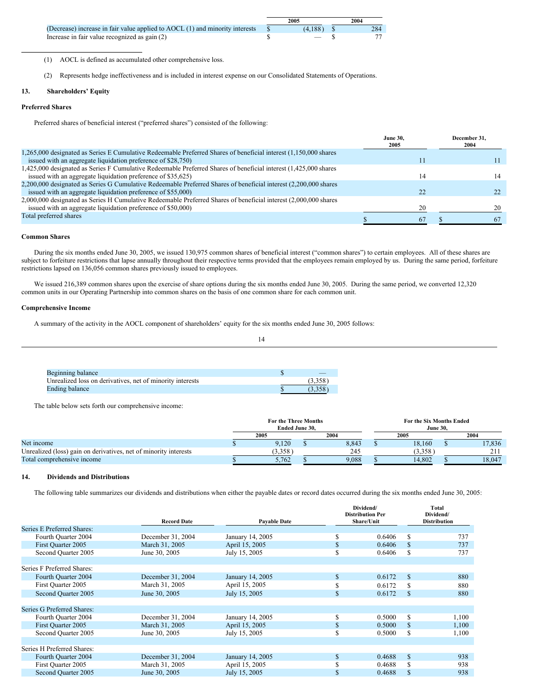|                                                                              | 2005         | 2004 |
|------------------------------------------------------------------------------|--------------|------|
| (Decrease) increase in fair value applied to AOCL (1) and minority interests | $(4.188)$ \$ | 284  |
| Increase in fair value recognized as gain (2)                                | $ -$         |      |

(1) AOCL is defined as accumulated other comprehensive loss.

(2) Represents hedge ineffectiveness and is included in interest expense on our Consolidated Statements of Operations.

### **13. Shareholders' Equity**

### **Preferred Shares**

Preferred shares of beneficial interest ("preferred shares") consisted of the following:

|                                                                                                                  | <b>June 30,</b><br>2005 | December 31,<br>2004 |
|------------------------------------------------------------------------------------------------------------------|-------------------------|----------------------|
| 1,265,000 designated as Series E Cumulative Redeemable Preferred Shares of beneficial interest (1,150,000 shares |                         |                      |
| issued with an aggregate liquidation preference of \$28,750)                                                     |                         |                      |
| 1,425,000 designated as Series F Cumulative Redeemable Preferred Shares of beneficial interest (1,425,000 shares |                         |                      |
| issued with an aggregate liquidation preference of \$35,625)                                                     | 14                      | 14                   |
| 2,200,000 designated as Series G Cumulative Redeemable Preferred Shares of beneficial interest (2,200,000 shares |                         |                      |
| issued with an aggregate liquidation preference of \$55,000)                                                     | 22                      |                      |
| 2,000,000 designated as Series H Cumulative Redeemable Preferred Shares of beneficial interest (2,000,000 shares |                         |                      |
| issued with an aggregate liquidation preference of \$50,000)                                                     | 20                      | 20                   |
| Total preferred shares                                                                                           | 67                      |                      |

### **Common Shares**

During the six months ended June 30, 2005, we issued 130,975 common shares of beneficial interest ("common shares") to certain employees. All of these shares are subject to forfeiture restrictions that lapse annually throughout their respective terms provided that the employees remain employed by us. During the same period, forfeiture restrictions lapsed on 136,056 common shares previously issued to employees.

14

We issued 216,389 common shares upon the exercise of share options during the six months ended June 30, 2005. During the same period, we converted 12,320 common units in our Operating Partnership into common shares on the basis of one common share for each common unit.

### **Comprehensive Income**

A summary of the activity in the AOCL component of shareholders' equity for the six months ended June 30, 2005 follows:

Beginning balance Unrealized loss on derivatives, net of minority interests (3,358)<br>Ending balance (3,358) Ending balance

The table below sets forth our comprehensive income:

|         |      |                |                      | For the Six Months Ended<br><b>June 30.</b> |  |                 |  |  |  |
|---------|------|----------------|----------------------|---------------------------------------------|--|-----------------|--|--|--|
|         |      | 2004           |                      | 2005                                        |  | 2004            |  |  |  |
| 9.120   |      | 8.843          |                      | 18.160                                      |  | 17,836          |  |  |  |
| (3,358) |      | 245            |                      | (3,358)                                     |  | 21 <sup>'</sup> |  |  |  |
| 5.762   |      | 9.088          |                      | 14.802                                      |  | 18.047          |  |  |  |
|         | 2005 | Ended June 30. | For the Three Months |                                             |  |                 |  |  |  |

### **14. Dividends and Distributions**

The following table summarizes our dividends and distributions when either the payable dates or record dates occurred during the six months ended June 30, 2005:

|                            | <b>Record Date</b> | <b>Payable Date</b> |              | Dividend/<br><b>Distribution Per</b><br>Share/Unit |               | Total<br>Dividend/<br><b>Distribution</b> |
|----------------------------|--------------------|---------------------|--------------|----------------------------------------------------|---------------|-------------------------------------------|
| Series E Preferred Shares: |                    |                     |              |                                                    |               |                                           |
| Fourth Ouarter 2004        | December 31, 2004  | January 14, 2005    | \$           | 0.6406                                             | S             | 737                                       |
| First Ouarter 2005         | March 31, 2005     | April 15, 2005      | \$           | 0.6406                                             | \$            | 737                                       |
| Second Quarter 2005        | June 30, 2005      | July 15, 2005       | \$           | 0.6406                                             | \$            | 737                                       |
|                            |                    |                     |              |                                                    |               |                                           |
| Series F Preferred Shares: |                    |                     |              |                                                    |               |                                           |
| Fourth Ouarter 2004        | December 31, 2004  | January 14, 2005    | $\mathbb{S}$ | 0.6172                                             | <sup>\$</sup> | 880                                       |
| First Quarter 2005         | March 31, 2005     | April 15, 2005      | \$           | 0.6172                                             | \$.           | 880                                       |
| Second Quarter 2005        | June 30, 2005      | July 15, 2005       | \$           | 0.6172                                             | \$            | 880                                       |
|                            |                    |                     |              |                                                    |               |                                           |
| Series G Preferred Shares: |                    |                     |              |                                                    |               |                                           |
| Fourth Quarter 2004        | December 31, 2004  | January 14, 2005    | \$           | 0.5000                                             | \$            | 1,100                                     |
| First Ouarter 2005         | March 31, 2005     | April 15, 2005      | \$           | 0.5000                                             | \$            | 1,100                                     |
| Second Quarter 2005        | June 30, 2005      | July 15, 2005       | S            | 0.5000                                             | S             | 1,100                                     |
|                            |                    |                     |              |                                                    |               |                                           |
| Series H Preferred Shares: |                    |                     |              |                                                    |               |                                           |
| Fourth Quarter 2004        | December 31, 2004  | January 14, 2005    | \$           | 0.4688                                             | <sup>\$</sup> | 938                                       |
| First Ouarter 2005         | March 31, 2005     | April 15, 2005      | \$           | 0.4688                                             | \$            | 938                                       |
| Second Quarter 2005        | June 30, 2005      | July 15, 2005       | \$           | 0.4688                                             |               | 938                                       |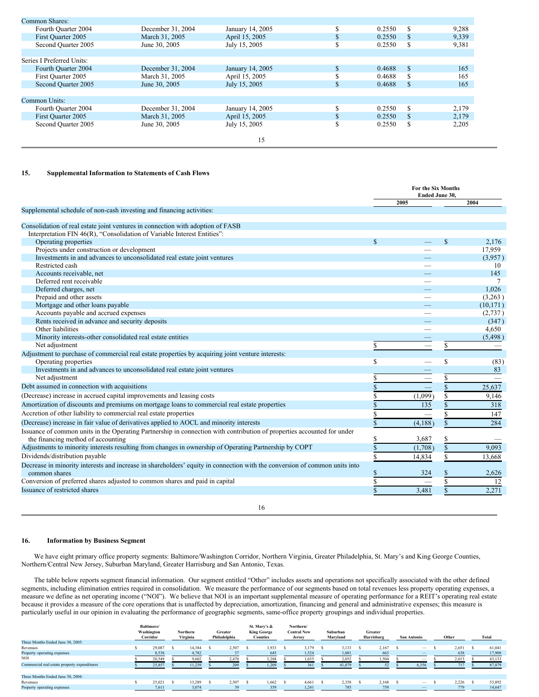| Common Shares:            |                   |                  |   |        |          |       |
|---------------------------|-------------------|------------------|---|--------|----------|-------|
| Fourth Quarter 2004       | December 31, 2004 | January 14, 2005 |   | 0.2550 | S        | 9,288 |
| First Ouarter 2005        | March 31, 2005    | April 15, 2005   |   | 0.2550 | \$       | 9,339 |
| Second Quarter 2005       | June 30, 2005     | July 15, 2005    | ъ | 0.2550 | S        | 9,381 |
|                           |                   |                  |   |        |          |       |
| Series I Preferred Units: |                   |                  |   |        |          |       |
| Fourth Quarter 2004       | December 31, 2004 | January 14, 2005 | ж | 0.4688 | <b>S</b> | 165   |
| First Ouarter 2005        | March 31, 2005    | April 15, 2005   |   | 0.4688 | S        | 165   |
| Second Quarter 2005       | June 30, 2005     | July 15, 2005    | ъ | 0.4688 | <b>S</b> | 165   |
|                           |                   |                  |   |        |          |       |
| Common Units:             |                   |                  |   |        |          |       |
| Fourth Quarter 2004       | December 31, 2004 | January 14, 2005 |   | 0.2550 | S        | 2,179 |
| First Ouarter 2005        | March 31, 2005    | April 15, 2005   |   | 0.2550 | \$.      | 2,179 |
| Second Quarter 2005       | June 30, 2005     | July 15, 2005    | ъ | 0.2550 | S        | 2,205 |
|                           |                   |                  |   |        |          |       |
|                           |                   | 15               |   |        |          |       |

### **15. Supplemental Information to Statements of Cash Flows**

|                                                                                                                                                               |          | For the Six Months<br>Ended June 30, |               |           |
|---------------------------------------------------------------------------------------------------------------------------------------------------------------|----------|--------------------------------------|---------------|-----------|
|                                                                                                                                                               |          | 2005                                 |               | 2004      |
| Supplemental schedule of non-cash investing and financing activities:                                                                                         |          |                                      |               |           |
| Consolidation of real estate joint ventures in connection with adoption of FASB                                                                               |          |                                      |               |           |
| Interpretation FIN 46(R), "Consolidation of Variable Interest Entities":                                                                                      |          |                                      |               |           |
| Operating properties                                                                                                                                          | \$       |                                      | $\mathcal{S}$ | 2.176     |
| Projects under construction or development                                                                                                                    |          |                                      |               | 17,959    |
| Investments in and advances to unconsolidated real estate joint ventures                                                                                      |          |                                      |               | (3,957)   |
| Restricted cash                                                                                                                                               |          |                                      |               | 10        |
| Accounts receivable, net                                                                                                                                      |          |                                      |               | 145       |
| Deferred rent receivable                                                                                                                                      |          |                                      |               | 7         |
| Deferred charges, net                                                                                                                                         |          |                                      |               | 1,026     |
| Prepaid and other assets                                                                                                                                      |          |                                      |               | (3,263)   |
| Mortgage and other loans payable                                                                                                                              |          |                                      |               | (10, 171) |
| Accounts payable and accrued expenses                                                                                                                         |          |                                      |               | (2,737)   |
| Rents received in advance and security deposits                                                                                                               |          |                                      |               | (347)     |
| Other liabilities                                                                                                                                             |          |                                      |               | 4,650     |
| Minority interests-other consolidated real estate entities                                                                                                    |          |                                      |               | (5, 498)  |
| Net adjustment                                                                                                                                                | S        |                                      | \$            |           |
| Adjustment to purchase of commercial real estate properties by acquiring joint venture interests:                                                             |          |                                      |               |           |
| Operating properties                                                                                                                                          | S        |                                      | S             | (83)      |
| Investments in and advances to unconsolidated real estate joint ventures                                                                                      |          |                                      |               | 83        |
| Net adjustment                                                                                                                                                | \$       |                                      | \$            |           |
| Debt assumed in connection with acquisitions                                                                                                                  | <b>S</b> |                                      | \$            | 25,637    |
| (Decrease) increase in accrued capital improvements and leasing costs                                                                                         | S        | (1,099)                              | \$            | 9,146     |
| Amortization of discounts and premiums on mortgage loans to commercial real estate properties                                                                 | <b>S</b> | 135                                  | \$            | 318       |
| Accretion of other liability to commercial real estate properties                                                                                             |          |                                      | \$            | 147       |
| (Decrease) increase in fair value of derivatives applied to AOCL and minority interests                                                                       | S        | (4.188)                              | \$            | 284       |
| Issuance of common units in the Operating Partnership in connection with contribution of properties accounted for under<br>the financing method of accounting | S        | 3,687                                | \$            |           |
| Adjustments to minority interests resulting from changes in ownership of Operating Partnership by COPT                                                        |          |                                      |               |           |
|                                                                                                                                                               | \$       | (1,708)                              | \$            | 9,093     |
| Dividends/distribution payable                                                                                                                                | S        | 14,834                               | \$            | 13,668    |
| Decrease in minority interests and increase in shareholders' equity in connection with the conversion of common units into<br>common shares                   | \$       | 324                                  | \$            | 2,626     |
| Conversion of preferred shares adjusted to common shares and paid in capital                                                                                  | S        |                                      | \$            | 12        |
| Issuance of restricted shares                                                                                                                                 |          | 3,481                                | \$            | 2,271     |
|                                                                                                                                                               |          |                                      |               |           |
| 16                                                                                                                                                            |          |                                      |               |           |

### **16. Information by Business Segment**

We have eight primary office property segments: Baltimore/Washington Corridor, Northern Virginia, Greater Philadelphia, St. Mary's and King George Counties, Northern/Central New Jersey, Suburban Maryland, Greater Harrisburg and San Antonio, Texas.

The table below reports segment financial information. Our segment entitled "Other" includes assets and operations not specifically associated with the other defined segments, including elimination entries required in consolidation. We measure the performance of our segments based on total revenues less property operating expenses, a measure we define as net operating income ("NOI"). We believe that NOI is an important supplemental measure of operating performance for a REIT's operating real estate because it provides a measure of the core operations that is unaffected by depreciation, amortization, financing and general and administrative expenses; this measure is particularly useful in our opinion in evaluating the performance of geographic segments, same-office property groupings and individual properties.

|                                              | Baltimore/<br>Washington<br>Corridor | Northern<br>Virginia | Greater<br>Philadelphia | St. Mary's &<br><b>King George</b><br><b>Counties</b> | Northern/<br><b>Central New</b><br>Jersey | Suburban<br>Maryland | Greater<br>Harrisburg | San Antonio              | Other | Total  |
|----------------------------------------------|--------------------------------------|----------------------|-------------------------|-------------------------------------------------------|-------------------------------------------|----------------------|-----------------------|--------------------------|-------|--------|
| Three Months Ended June 30, 2005:            |                                      |                      |                         |                                                       |                                           |                      |                       |                          |       |        |
| Revenues                                     | 29,087                               | 14.384               | 2,507                   | 3,933                                                 | 3,179                                     | 3,133                | 2,167                 | $\overline{\phantom{a}}$ | 2.651 | 61,041 |
| Property operating expenses                  | 8,538                                | 4,782                |                         | 645                                                   | 1,524                                     | 1,081                | 663                   | $\overline{\phantom{a}}$ | 638   | 17,908 |
| <b>NOI</b>                                   | 20.549                               | 9.602                | 2.470                   | 3.288                                                 | 1,655                                     | 2.052                | 1.504                 | -                        | 2.013 | 43,133 |
| Commercial real estate property expenditures | 25,857                               | 11,239               | 209                     | 1,209                                                 | 361                                       | 41,879               | 52                    | 6,356                    | 717   | 87,879 |
|                                              |                                      |                      |                         |                                                       |                                           |                      |                       |                          |       |        |
| Three Months Ended June 30, 2004:            |                                      |                      |                         |                                                       |                                           |                      |                       |                          |       |        |
| Revenues                                     | 25.021                               | 13.289               | 2.507                   | 1.662                                                 | 4.661                                     | 2.358                | 2.168                 | $-$                      | 2.226 | 53,892 |
| Property operating expenses                  | 7,611                                | 3,074                | 39                      | 359                                                   | 1,241                                     | 785                  | 759                   |                          | 779   | 14,647 |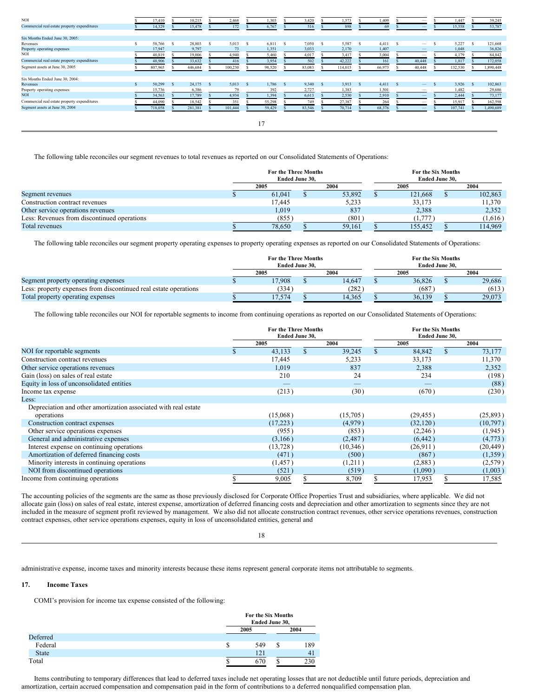| <b>NOI</b>                                   |               | 17,410  |    | 10,215  |    | 2,468   |      | 1,303  |        | 3,420  |    | 1.573   |     | 1.409  |     | -                        | 1,447   |      | 39,245    |
|----------------------------------------------|---------------|---------|----|---------|----|---------|------|--------|--------|--------|----|---------|-----|--------|-----|--------------------------|---------|------|-----------|
| Commercial real estate property expenditures |               | 14,329  |    | 15,478  |    | 172     |      | 6,767  |        | 516    |    | 898     |     | 69     |     |                          | 15,558  |      | 53,787    |
|                                              |               |         |    |         |    |         |      |        |        |        |    |         |     |        |     |                          |         |      |           |
| Six Months Ended June 30, 2005:              |               |         |    |         |    |         |      |        |        |        |    |         |     |        |     |                          |         |      |           |
| Revenues                                     | $\mathcal{L}$ | 58,766  | -S | 28,803  |    | 5,013   | - 8  | 6,811  | -S     | 7,050  | -S | 5,587   | - 8 | 4,411  | - 8 | -                        | 5.227   | - S  | 121,668   |
| Property operating expenses                  |               | 17,947  |    | 9,797   |    | 73      |      | 1,351  |        | 3,033  |    | 2,170   |     | 1,407  |     |                          | 1,048   |      | 36,826    |
| <b>NOI</b>                                   |               | 40,819  |    | 19,006  |    | 4,940   |      | 5,460  |        | 4,017  |    | 3,417   |     | 3,004  |     | $\overline{\phantom{a}}$ | 4,179   |      | 84,842    |
| Commercial real estate property expenditures |               | 48,906  |    | 33,632  |    | 416     |      | 3,954  |        | 502    |    | 42,222  |     | 161    |     | 40,448                   | 1.817   |      | 172,058   |
| Segment assets at June 30, 2005              |               | 807,965 |    | 446,684 |    | 100,230 |      | 98,520 |        | 83,083 |    | 114,015 |     | 66,973 |     | 40,448                   | 132,530 |      | 1,890,448 |
|                                              |               |         |    |         |    |         |      |        |        |        |    |         |     |        |     |                          |         |      |           |
| Six Months Ended June 30, 2004:              |               |         |    |         |    |         |      |        |        |        |    |         |     |        |     |                          |         |      |           |
| Revenues                                     |               | 50,299  | -S | 24,175  | -8 | 5,013   | - \$ | 1,786  | $\sim$ | 9,340  | -S | 3,913   | -S  | 4,411  | - S | -                        | 3,926   | - \$ | 102,863   |
| Property operating expenses                  |               | 15,736  |    | 6,386   |    | 79      |      | 392    |        | 2,727  |    | 1,383   |     | 1,501  |     |                          | 1,482   |      | 29,686    |
| <b>NOI</b>                                   |               | 34,563  |    | 17,789  |    | 4,934   |      | 1,394  |        | 6,613  |    | 2,530   |     | 2,910  |     | $\overline{\phantom{a}}$ | 2,444   |      | 73,177    |
| Commercial real estate property expenditures |               | 44,090  |    | 18,542  |    | 351     |      | 55,298 |        | 749    |    | 27,387  |     | 264    |     | $\qquad \qquad$          | 15,917  |      | 162,598   |
| Segment assets at June 30, 2004              |               | 718,058 |    | 281,381 |    | 101,444 |      | 59,429 |        | 83,546 |    | 70,714  |     | 68,376 |     | -                        | 107,741 |      | 1,490,689 |
|                                              |               |         |    |         |    |         |      |        |        |        |    |         |     |        |     |                          |         |      |           |
|                                              |               |         |    |         |    |         |      | 17     |        |        |    |         |     |        |     |                          |         |      |           |
|                                              |               |         |    |         |    |         |      |        |        |        |    |         |     |        |     |                          |         |      |           |

The following table reconciles our segment revenues to total revenues as reported on our Consolidated Statements of Operations:

|                                             | For the Three Months<br>Ended June 30. |      |        | For the Six Months<br>Ended June 30. |         |
|---------------------------------------------|----------------------------------------|------|--------|--------------------------------------|---------|
|                                             | 2005                                   | 2004 |        | 2005                                 | 2004    |
| Segment revenues                            | 61,041                                 |      | 53,892 | 121,668                              | 102,863 |
| Construction contract revenues              | 17.445                                 |      | 5.233  | 33.173                               | 11.370  |
| Other service operations revenues           | 1,019                                  |      | 837    | 2,388                                | 2,352   |
| Less: Revenues from discontinued operations | (855)                                  |      | (801)  | (1,777)                              | (1,616) |
| Total revenues                              | 78,650                                 |      | 59,161 | 155,452                              | 114,969 |

The following table reconciles our segment property operating expenses to property operating expenses as reported on our Consolidated Statements of Operations:

|                                                                  | For the Three Months<br>Ended June 30. |      |        |  | For the Six Months<br>Ended June 30. |  |        |
|------------------------------------------------------------------|----------------------------------------|------|--------|--|--------------------------------------|--|--------|
|                                                                  | 2005                                   | 2004 |        |  | 2005                                 |  | 2004   |
| Segment property operating expenses                              | 17.908                                 |      | 14.647 |  | 36.826                               |  | 29,686 |
| Less: property expenses from discontinued real estate operations | $334^{\circ}$                          |      | 282    |  | (687                                 |  | (613)  |
| Total property operating expenses                                | 7.574                                  |      | 14.365 |  | 36,139                               |  | 29.073 |

The following table reconciles our NOI for reportable segments to income from continuing operations as reported on our Consolidated Statements of Operations:

|                                                                 | For the Three Months<br>Ended June 30, |              | For the Six Months<br>Ended June 30. |  |           |              |           |  |
|-----------------------------------------------------------------|----------------------------------------|--------------|--------------------------------------|--|-----------|--------------|-----------|--|
|                                                                 | 2005                                   |              | 2004                                 |  | 2005      |              | 2004      |  |
| NOI for reportable segments                                     | 43,133                                 | $\mathbf{s}$ | 39,245                               |  | 84,842    | $\mathbb{S}$ | 73,177    |  |
| Construction contract revenues                                  | 17,445                                 |              | 5,233                                |  | 33,173    |              | 11,370    |  |
| Other service operations revenues                               | 1,019                                  |              | 837                                  |  | 2,388     |              | 2,352     |  |
| Gain (loss) on sales of real estate                             | 210                                    |              | 24                                   |  | 234       |              | (198)     |  |
| Equity in loss of unconsolidated entities                       |                                        |              |                                      |  |           |              | (88)      |  |
| Income tax expense                                              | (213)                                  |              | (30)                                 |  | (670)     |              | (230)     |  |
| Less:                                                           |                                        |              |                                      |  |           |              |           |  |
| Depreciation and other amortization associated with real estate |                                        |              |                                      |  |           |              |           |  |
| operations                                                      | (15,068)                               |              | (15,705)                             |  | (29, 455) |              | (25,893)  |  |
| Construction contract expenses                                  | (17, 223)                              |              | (4,979)                              |  | (32, 120) |              | (10,797)  |  |
| Other service operations expenses                               | (955)                                  |              | (853)                                |  | (2,246)   |              | (1,945)   |  |
| General and administrative expenses                             | (3,166)                                |              | (2,487)                              |  | (6, 442)  |              | (4,773)   |  |
| Interest expense on continuing operations                       | (13, 728)                              |              | (10, 346)                            |  | (26, 911) |              | (20, 449) |  |
| Amortization of deferred financing costs                        | (471)                                  |              | (500)                                |  | (867)     |              | (1,359)   |  |
| Minority interests in continuing operations                     | (1, 457)                               |              | (1,211)                              |  | (2,883)   |              | (2,579)   |  |
| NOI from discontinued operations                                | (521)                                  |              | (519)                                |  | (1,090)   |              | (1,003)   |  |
| Income from continuing operations                               | 9,005                                  |              | 8,709                                |  | 17,953    |              | 17,585    |  |

The accounting policies of the segments are the same as those previously disclosed for Corporate Office Properties Trust and subsidiaries, where applicable. We did not allocate gain (loss) on sales of real estate, interest expense, amortization of deferred financing costs and depreciation and other amortization to segments since they are not included in the measure of segment profit reviewed by management. We also did not allocate construction contract revenues, other service operations revenues, construction contract expenses, other service operations expenses, equity in loss of unconsolidated entities, general and

18

administrative expense, income taxes and minority interests because these items represent general corporate items not attributable to segments.

### **17. Income Taxes**

COMI's provision for income tax expense consisted of the following:

|              |   | For the Six Months | Ended June 30, |                |
|--------------|---|--------------------|----------------|----------------|
|              |   | 2005               |                | 2004           |
| Deferred     |   |                    |                |                |
| Federal      | S | 549                | ъ              | 189            |
| <b>State</b> |   | 121                |                | $\overline{4}$ |
| Total        |   | 670                | ٠п             | 230            |

Items contributing to temporary differences that lead to deferred taxes include net operating losses that are not deductible until future periods, depreciation and amortization, certain accrued compensation and compensation paid in the form of contributions to a deferred nonqualified compensation plan.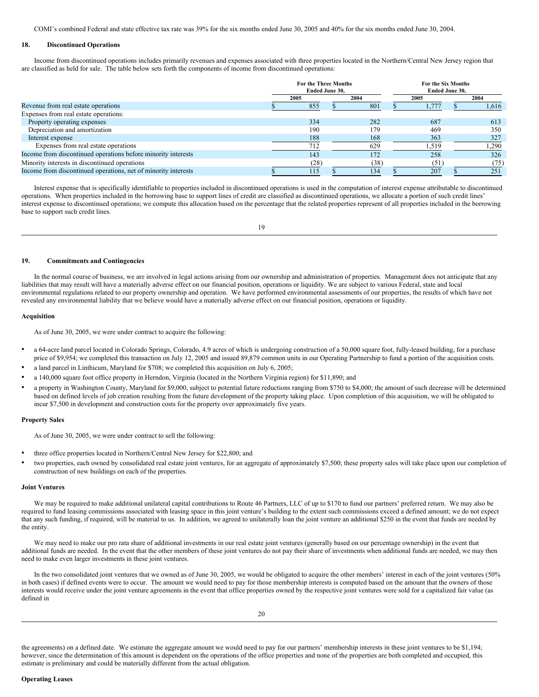COMI's combined Federal and state effective tax rate was 39% for the six months ended June 30, 2005 and 40% for the six months ended June 30, 2004.

### **18. Discontinued Operations**

Income from discontinued operations includes primarily revenues and expenses associated with three properties located in the Northern/Central New Jersey region that are classified as held for sale. The table below sets forth the components of income from discontinued operations:

|                                                                | <b>For the Three Months</b><br>Ended June 30. |  |      |  |       | For the Six Months<br>Ended June 30. |       |  |  |
|----------------------------------------------------------------|-----------------------------------------------|--|------|--|-------|--------------------------------------|-------|--|--|
|                                                                | 2005                                          |  | 2004 |  | 2005  |                                      | 2004  |  |  |
| Revenue from real estate operations                            | 855                                           |  | 801  |  | 1,777 |                                      | 1,616 |  |  |
| Expenses from real estate operations:                          |                                               |  |      |  |       |                                      |       |  |  |
| Property operating expenses                                    | 334                                           |  | 282  |  | 687   |                                      | 613   |  |  |
| Depreciation and amortization                                  | 190                                           |  | 179  |  | 469   |                                      | 350   |  |  |
| Interest expense                                               | 188                                           |  | 168  |  | 363   |                                      | 327   |  |  |
| Expenses from real estate operations                           | 712                                           |  | 629  |  | 1,519 |                                      | ,290  |  |  |
| Income from discontinued operations before minority interests  | 143                                           |  | 172  |  | 258   |                                      | 326   |  |  |
| Minority interests in discontinued operations                  | (28)                                          |  | (38) |  | (51)  |                                      | (75)  |  |  |
| Income from discontinued operations, net of minority interests | 115                                           |  | 134  |  | 207   |                                      | 251   |  |  |

Interest expense that is specifically identifiable to properties included in discontinued operations is used in the computation of interest expense attributable to discontinued operations. When properties included in the borrowing base to support lines of credit are classified as discontinued operations, we allocate a portion of such credit lines' interest expense to discontinued operations; we compute this allocation based on the percentage that the related properties represent of all properties included in the borrowing base to support such credit lines.

19

### **19. Commitments and Contingencies**

In the normal course of business, we are involved in legal actions arising from our ownership and administration of properties. Management does not anticipate that any liabilities that may result will have a materially adverse effect on our financial position, operations or liquidity. We are subject to various Federal, state and local environmental regulations related to our property ownership and operation. We have performed environmental assessments of our properties, the results of which have not revealed any environmental liability that we believe would have a materially adverse effect on our financial position, operations or liquidity.

#### **Acquisition**

As of June 30, 2005, we were under contract to acquire the following:

- a 64-acre land parcel located in Colorado Springs, Colorado, 4.9 acres of which is undergoing construction of a 50,000 square foot, fully-leased building, for a purchase price of \$9,954; we completed this transaction on July 12, 2005 and issued 89,879 common units in our Operating Partnership to fund a portion of the acquisition costs.
- a land parcel in Linthicum, Maryland for \$708; we completed this acquisition on July 6, 2005;
- a 140,000 square foot office property in Herndon, Virginia (located in the Northern Virginia region) for \$11,890; and
- a property in Washington County, Maryland for \$9,000, subject to potential future reductions ranging from \$750 to \$4,000; the amount of such decrease will be determined based on defined levels of job creation resulting from the future development of the property taking place. Upon completion of this acquisition, we will be obligated to incur \$7,500 in development and construction costs for the property over approximately five years.

#### **Property Sales**

As of June 30, 2005, we were under contract to sell the following:

- three office properties located in Northern/Central New Jersey for \$22,800; and
- two properties, each owned by consolidated real estate joint ventures, for an aggregate of approximately \$7,500; these property sales will take place upon our completion of construction of new buildings on each of the properties.

### **Joint Ventures**

We may be required to make additional unilateral capital contributions to Route 46 Partners, LLC of up to \$170 to fund our partners' preferred return. We may also be required to fund leasing commissions associated with leasing space in this joint venture's building to the extent such commissions exceed a defined amount; we do not expect that any such funding, if required, will be material to us. In addition, we agreed to unilaterally loan the joint venture an additional \$250 in the event that funds are needed by the entity.

We may need to make our pro rata share of additional investments in our real estate joint ventures (generally based on our percentage ownership) in the event that additional funds are needed. In the event that the other members of these joint ventures do not pay their share of investments when additional funds are needed, we may then need to make even larger investments in these joint ventures.

In the two consolidated joint ventures that we owned as of June 30, 2005, we would be obligated to acquire the other members' interest in each of the joint ventures (50%) in both cases) if defined events were to occur. The amount we would need to pay for those membership interests is computed based on the amount that the owners of those interests would receive under the joint venture agreements in the event that office properties owned by the respective joint ventures were sold for a capitalized fair value (as defined in

the agreements) on a defined date. We estimate the aggregate amount we would need to pay for our partners' membership interests in these joint ventures to be \$1,194; however, since the determination of this amount is dependent on the operations of the office properties and none of the properties are both completed and occupied, this estimate is preliminary and could be materially different from the actual obligation.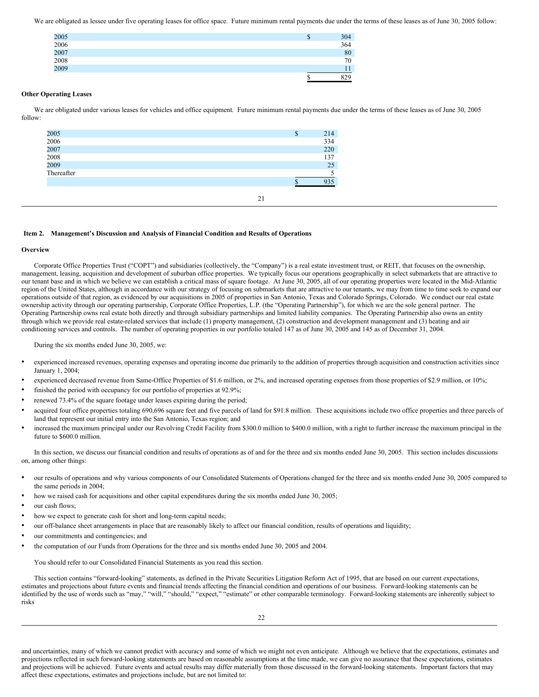We are obligated as lessee under five operating leases for office space. Future minimum rental payments due under the terms of these leases as of June 30, 2005 follow:

| 2005<br>2006<br>2007<br>2008<br>2009 | 304<br>Φ |
|--------------------------------------|----------|
|                                      | 364      |
|                                      | 80       |
|                                      | 70       |
|                                      |          |
|                                      | 829      |

### **Other Operating Leases**

We are obligated under various leases for vehicles and office equipment. Future minimum rental payments due under the terms of these leases as of June 30, 2005 follow:



### <span id="page-12-0"></span>**Item 2. Management's Discussion and Analysis of Financial Condition and Results of Operations**

### **Overview**

Corporate Office Properties Trust ("COPT") and subsidiaries (collectively, the "Company") is a real estate investment trust, or REIT, that focuses on the ownership, management, leasing, acquisition and development of suburban office properties. We typically focus our operations geographically in select submarkets that are attractive to our tenant base and in which we believe we can establish a critical mass of square footage. At June 30, 2005, all of our operating properties were located in the Mid-Atlantic region of the United States, although in accordance with our strategy of focusing on submarkets that are attractive to our tenants, we may from time to time seek to expand our operations outside of that region, as evidenced by our acquisitions in 2005 of properties in San Antonio, Texas and Colorado Springs, Colorado. We conduct our real estate ownership activity through our operating partnership, Corporate Office Properties, L.P. (the "Operating Partnership"), for which we are the sole general partner. The Operating Partnership owns real estate both directly and through subsidiary partnerships and limited liability companies. The Operating Partnership also owns an entity through which we provide real estate-related services that include (1) property management, (2) construction and development management and (3) heating and air conditioning services and controls. The number of operating properties in our portfolio totaled 147 as of June 30, 2005 and 145 as of December 31, 2004.

During the six months ended June 30, 2005, we:

- experienced increased revenues, operating expenses and operating income due primarily to the addition of properties through acquisition and construction activities since January 1, 2004;
- experienced decreased revenue from Same-Office Properties of \$1.6 million, or 2%, and increased operating expenses from those properties of \$2.9 million, or 10%;
- finished the period with occupancy for our portfolio of properties at 92.9%;
- renewed 73.4% of the square footage under leases expiring during the period;
- acquired four office properties totaling 690,696 square feet and five parcels of land for \$91.8 million. These acquisitions include two office properties and three parcels of land that represent our initial entry into the San Antonio, Texas region; and
- increased the maximum principal under our Revolving Credit Facility from \$300.0 million to \$400.0 million, with a right to further increase the maximum principal in the future to \$600.0 million.

In this section, we discuss our financial condition and results of operations as of and for the three and six months ended June 30, 2005. This section includes discussions on, among other things:

- our results of operations and why various components of our Consolidated Statements of Operations changed for the three and six months ended June 30, 2005 compared to the same periods in 2004;
- how we raised cash for acquisitions and other capital expenditures during the six months ended June 30, 2005;
- our cash flows:
- how we expect to generate cash for short and long-term capital needs;
- our off-balance sheet arrangements in place that are reasonably likely to affect our financial condition, results of operations and liquidity;
- our commitments and contingencies; and
- the computation of our Funds from Operations for the three and six months ended June 30, 2005 and 2004.

You should refer to our Consolidated Financial Statements as you read this section.

This section contains "forward-looking" statements, as defined in the Private Securities Litigation Reform Act of 1995, that are based on our current expectations, estimates and projections about future events and financial trends affecting the financial condition and operations of our business. Forward-looking statements can be identified by the use of words such as "may," "will," "should," "expect," "estimate" or other comparable terminology. Forward-looking statements are inherently subject to risks

and uncertainties, many of which we cannot predict with accuracy and some of which we might not even anticipate. Although we believe that the expectations, estimates and projections reflected in such forward-looking statements are based on reasonable assumptions at the time made, we can give no assurance that these expectations, estimates and projections will be achieved. Future events and actual results may differ materially from those discussed in the forward-looking statements. Important factors that may affect these expectations, estimates and projections include, but are not limited to: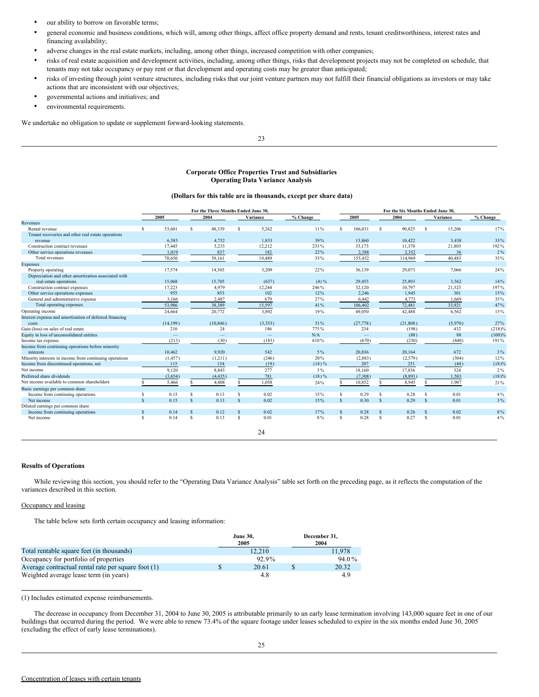- our ability to borrow on favorable terms;
- general economic and business conditions, which will, among other things, affect office property demand and rents, tenant creditworthiness, interest rates and financing availability;
- adverse changes in the real estate markets, including, among other things, increased competition with other companies;
- risks of real estate acquisition and development activities, including, among other things, risks that development projects may not be completed on schedule, that tenants may not take occupancy or pay rent or that development and operating costs may be greater than anticipated;
- risks of investing through joint venture structures, including risks that our joint venture partners may not fulfill their financial obligations as investors or may take actions that are inconsistent with our objectives;
- governmental actions and initiatives; and
- environmental requirements.

We undertake no obligation to update or supplement forward-looking statements.

23

### **Corporate Office Properties Trust and Subsidiaries Operating Data Variance Analysis**

### **(Dollars for this table are in thousands, except per share data)**

|                                                         |              |                   |              | For the Three Months Ended June 30, |              |                          |           |              | For the Six Months Ended June 30, |    |          |              |          |          |  |
|---------------------------------------------------------|--------------|-------------------|--------------|-------------------------------------|--------------|--------------------------|-----------|--------------|-----------------------------------|----|----------|--------------|----------|----------|--|
|                                                         |              | 2005              |              | 2004                                |              | Variance                 | % Change  |              | 2005                              |    | 2004     |              | Variance | % Change |  |
| Revenues                                                |              |                   |              |                                     |              |                          |           |              |                                   |    |          |              |          |          |  |
| Rental revenue                                          | s            | 53,601            | s            | 48,339                              | s            | 5,262                    | 11%       | s            | 106,031                           | s  | 90,825   | S            | 15,206   | 17%      |  |
| Tenant recoveries and other real estate operations      |              |                   |              |                                     |              |                          |           |              |                                   |    |          |              |          |          |  |
| revenue                                                 |              | 6.585             |              | 4.752                               |              | 1.833                    | 39%       |              | 13,860                            |    | 10.422   |              | 3.438    | 33%      |  |
| Construction contract revenues                          |              | 17,445            |              | 5,233                               |              | 12,212                   | 233%      |              | 33,173                            |    | 11,370   |              | 21,803   | 192%     |  |
| Other service operations revenues                       |              | 1,019             |              | 837                                 |              | 182                      | 22%       |              | 2,388                             |    | 2,352    |              | 36       | $2\%$    |  |
| Total revenues                                          |              | 78,650            |              | 59,161                              |              | 19,489                   | 33%       |              | 155,452                           |    | 114,969  |              | 40,483   | 35%      |  |
| <b>Expenses</b>                                         |              |                   |              |                                     |              |                          |           |              |                                   |    |          |              |          |          |  |
| Property operating                                      |              | 17,574            |              | 14,365                              |              | 3,209                    | 22%       |              | 36,139                            |    | 29,073   |              | 7,066    | 24%      |  |
| Depreciation and other amortization associated with     |              |                   |              |                                     |              |                          |           |              |                                   |    |          |              |          |          |  |
| real estate operations                                  |              | 15,068            |              | 15,705                              |              | (637)                    | $(4) \%$  |              | 29,455                            |    | 25,893   |              | 3,562    | 14%      |  |
| Construction contract expenses                          |              | 17,223            |              | 4.979                               |              | 12,244                   | 246%      |              | 32,120                            |    | 10,797   |              | 21,323   | 197%     |  |
| Other service operations expenses                       |              | 955               |              | 853                                 |              | 102                      | 12%       |              | 2,246                             |    | 1,945    |              | 301      | 15%      |  |
| General and administrative expense                      |              | 3,166             |              | 2,487                               |              | 679                      | 27%       |              | 6,442                             |    | 4,773    |              | 1,669    | $35\%$   |  |
| Total operating expenses                                |              | 53,986            |              | 38,389                              |              | 15,597                   | 41%       |              | 106,402                           |    | 72,481   |              | 33,921   | 47%      |  |
| Operating income                                        |              | 24,664            |              | 20,772                              |              | 3,892                    | 19%       |              | 49,050                            |    | 42,488   |              | 6,562    | 15%      |  |
| Interest expense and amortization of deferred financing |              |                   |              |                                     |              |                          |           |              |                                   |    |          |              |          |          |  |
| costs                                                   |              | (14, 199)         |              | (10, 846)                           |              | (3,353)                  | 31%       |              | (27,778)                          |    | (21,808) |              | (5,970)  | 27%      |  |
| Gain (loss) on sales of real estate                     |              | 210               |              | 24                                  |              | 186                      | 775%      |              | 234                               |    | (198)    |              | 432      | (218)%   |  |
| Equity in loss of unconsolidated entities               |              | $\qquad \qquad -$ |              | $\overline{\phantom{a}}$            |              | $\overline{\phantom{0}}$ | N/A       |              | $\overline{\phantom{0}}$          |    | (88)     |              | 88       | (100)%   |  |
| Income tax expense                                      |              | (213)             |              | (30)                                |              | (183)                    | 610%      |              | (670)                             |    | (230)    |              | (440)    | 191%     |  |
| Income from continuing operations before minority       |              |                   |              |                                     |              |                          |           |              |                                   |    |          |              |          |          |  |
| interests                                               |              | 10.462            |              | 9.920                               |              | 542                      | $5\%$     |              | 20,836                            |    | 20,164   |              | 672      | $3\%$    |  |
| Minority interests in income from continuing operations |              | (1, 457)          |              | (1,211)                             |              | (246)                    | 20%       |              | (2,883)                           |    | (2,579)  |              | (304)    | $12\%$   |  |
| Income from discontinued operations, net                |              | 115               |              | 134                                 |              | (19)                     | $(14)$ %  |              | 207                               |    | 251      |              | (44)     | $(18)\%$ |  |
| Net income                                              |              | 9,120             |              | 8,843                               |              | 277                      | $3\%$     |              | 18,160                            |    | 17,836   |              | 324      | $2\%$    |  |
| Preferred share dividends                               |              | (3,654)           |              | (4, 435)                            |              | 781                      | $(18) \%$ |              | (7,308)                           |    | (8, 891) |              | 1,583    | $(18)\%$ |  |
| Net income available to common shareholders             |              | 5,466             | S.           | 4,408                               | S.           | 1,058                    | 24%       | S.           | 10,852                            | S. | 8,945    | S.           | 1,907    | 21%      |  |
| Basic earnings per common share                         |              |                   |              |                                     |              |                          |           |              |                                   |    |          |              |          |          |  |
| Income from continuing operations                       | s            | 0.15              | s            | 0.13                                | s            | 0.02                     | 15%       | s            | 0.29                              | s  | 0.28     | s            | 0.01     | $4\%$    |  |
| Net income                                              | $\mathbf{s}$ | 0.15              | $\mathbb S$  | 0.13                                | $\mathbf{s}$ | 0.02                     | 15%       | $\mathbf{s}$ | 0.30                              | S  | 0.29     | <sub>S</sub> | 0.01     | $3\%$    |  |
| Diluted earnings per common share                       |              |                   |              |                                     |              |                          |           |              |                                   |    |          |              |          |          |  |
| Income from continuing operations                       | S            | 0.14              | $\mathbf{s}$ | 0.12                                | $\mathbf{s}$ | 0.02                     | 17%       | S            | 0.28                              | \$ | 0.26     | <sup>S</sup> | 0.02     | $8\,\%$  |  |
| Net income                                              | s            | 0.14              | s            | 0.13                                | s            | 0.01                     | $8\%$     | S            | 0.28                              | S  | 0.27     | \$           | 0.01     | $4\%$    |  |
|                                                         |              |                   |              |                                     |              | 24                       |           |              |                                   |    |          |              |          |          |  |
|                                                         |              |                   |              |                                     |              |                          |           |              |                                   |    |          |              |          |          |  |

### **Results of Operations**

While reviewing this section, you should refer to the "Operating Data Variance Analysis" table set forth on the preceding page, as it reflects the computation of the variances described in this section.

### Occupancy and leasing

The table below sets forth certain occupancy and leasing information:

|                                                     | <b>June 30.</b><br>2005 | December 31.<br>2004 |
|-----------------------------------------------------|-------------------------|----------------------|
| Total rentable square feet (in thousands)           | 12.210                  | 11.978               |
| Occupancy for portfolio of properties               | 92.9%                   | 94.0%                |
| Average contractual rental rate per square foot (1) | 20.61                   | 20.32                |
| Weighted average lease term (in years)              | 4.8                     | 4.9                  |

(1) Includes estimated expense reimbursements.

The decrease in occupancy from December 31, 2004 to June 30, 2005 is attributable primarily to an early lease termination involving 143,000 square feet in one of our buildings that occurred during the period. We were able to renew 73.4% of the square footage under leases scheduled to expire in the six months ended June 30, 2005 (excluding the effect of early lease terminations).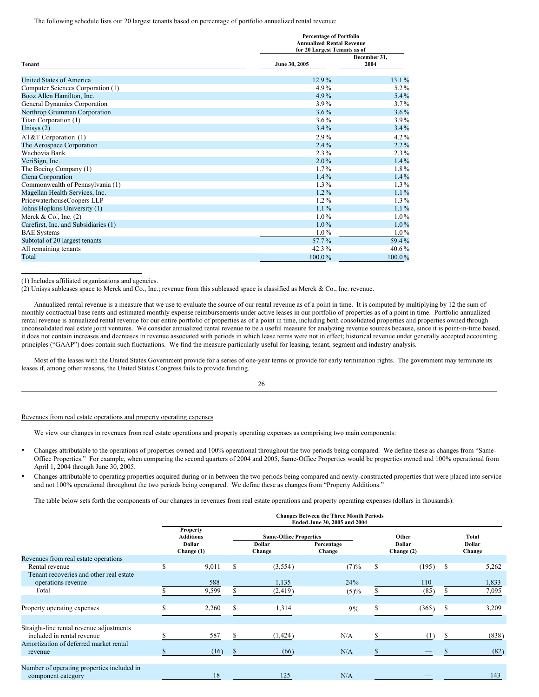The following schedule lists our 20 largest tenants based on percentage of portfolio annualized rental revenue:

|                                      | <b>Percentage of Portfolio</b><br><b>Annualized Rental Revenue</b><br>for 20 Largest Tenants as of |                      |  |  |  |  |  |  |
|--------------------------------------|----------------------------------------------------------------------------------------------------|----------------------|--|--|--|--|--|--|
| <b>Tenant</b>                        | June 30, 2005                                                                                      | December 31,<br>2004 |  |  |  |  |  |  |
| <b>United States of America</b>      | $12.9\%$                                                                                           | 13.1%                |  |  |  |  |  |  |
| Computer Sciences Corporation (1)    | $4.9\%$                                                                                            | $5.2\%$              |  |  |  |  |  |  |
| Booz Allen Hamilton, Inc.            | $4.9\%$                                                                                            | 5.4%                 |  |  |  |  |  |  |
| General Dynamics Corporation         | 3.9%                                                                                               | $3.7\%$              |  |  |  |  |  |  |
| Northrop Grumman Corporation         | $3.6\%$                                                                                            | $3.6\%$              |  |  |  |  |  |  |
| Titan Corporation (1)                | $3.6\%$                                                                                            | 3.9%                 |  |  |  |  |  |  |
| Unisys $(2)$                         | $3.4\%$                                                                                            | 3.4%                 |  |  |  |  |  |  |
| AT&T Corporation (1)                 | 2.9%                                                                                               | $4.2\%$              |  |  |  |  |  |  |
| The Aerospace Corporation            | $2.4\%$                                                                                            | $2.2\%$              |  |  |  |  |  |  |
| Wachovia Bank                        | $2.3\%$                                                                                            | $2.3\%$              |  |  |  |  |  |  |
| VeriSign, Inc.                       | $2.0\%$                                                                                            | $1.4\%$              |  |  |  |  |  |  |
| The Boeing Company (1)               | $1.7\%$                                                                                            | 1.8%                 |  |  |  |  |  |  |
| Ciena Corporation                    | $1.4\%$                                                                                            | $1.4\%$              |  |  |  |  |  |  |
| Commonwealth of Pennsylvania (1)     | $1.3\%$                                                                                            | $1.3\%$              |  |  |  |  |  |  |
| Magellan Health Services, Inc.       | $1.2\%$                                                                                            | $1.1\%$              |  |  |  |  |  |  |
| PricewaterhouseCoopers LLP           | $1.2\%$                                                                                            | $1.3\%$              |  |  |  |  |  |  |
| Johns Hopkins University (1)         | $1.1\%$                                                                                            | $1.1\%$              |  |  |  |  |  |  |
| Merck & Co., Inc. $(2)$              | $1.0\%$                                                                                            | $1.0\%$              |  |  |  |  |  |  |
| Carefirst, Inc. and Subsidiaries (1) | $1.0\%$                                                                                            | $1.0\%$              |  |  |  |  |  |  |
| <b>BAE</b> Systems                   | $1.0\%$                                                                                            | $1.0\%$              |  |  |  |  |  |  |
| Subtotal of 20 largest tenants       | 57.7%                                                                                              | 59.4%                |  |  |  |  |  |  |
| All remaining tenants                | $42.3\%$                                                                                           | 40.6%                |  |  |  |  |  |  |
| Total                                | $100.0\%$                                                                                          | $100.0\%$            |  |  |  |  |  |  |

(1) Includes affiliated organizations and agencies.

(2) Unisys subleases space to Merck and Co., Inc.; revenue from this subleased space is classified as Merck & Co., Inc. revenue.

Annualized rental revenue is a measure that we use to evaluate the source of our rental revenue as of a point in time. It is computed by multiplying by 12 the sum of monthly contractual base rents and estimated monthly expense reimbursements under active leases in our portfolio of properties as of a point in time. Portfolio annualized rental revenue is annualized rental revenue for our entire portfolio of properties as of a point in time, including both consolidated properties and properties owned through unconsolidated real estate joint ventures. We consider annualized rental revenue to be a useful measure for analyzing revenue sources because, since it is point-in-time based, it does not contain increases and decreases in revenue associated with periods in which lease terms were not in effect; historical revenue under generally accepted accounting principles ("GAAP") does contain such fluctuations. We find the measure particularly useful for leasing, tenant, segment and industry analysis.

Most of the leases with the United States Government provide for a series of one-year terms or provide for early termination rights. The government may terminate its leases if, among other reasons, the United States Congress fails to provide funding.

26

### Revenues from real estate operations and property operating expenses

We view our changes in revenues from real estate operations and property operating expenses as comprising two main components:

- Changes attributable to the operations of properties owned and 100% operational throughout the two periods being compared. We define these as changes from "Same-Office Properties." For example, when comparing the second quarters of 2004 and 2005, Same-Office Properties would be properties owned and 100% operational from April 1, 2004 through June 30, 2005.
- Changes attributable to operating properties acquired during or in between the two periods being compared and newly-constructed properties that were placed into service and not 100% operational throughout the two periods being compared. We define these as changes from "Property Additions."

The table below sets forth the components of our changes in revenues from real estate operations and property operating expenses (dollars in thousands):

|                                            |   | <b>Changes Between the Three Month Periods</b><br>Ended June 30, 2005 and 2004 |    |                               |                      |       |                      |    |                         |  |  |  |  |  |
|--------------------------------------------|---|--------------------------------------------------------------------------------|----|-------------------------------|----------------------|-------|----------------------|----|-------------------------|--|--|--|--|--|
|                                            |   | <b>Property</b><br><b>Additions</b>                                            |    | <b>Same-Office Properties</b> |                      | Other |                      |    | Total                   |  |  |  |  |  |
|                                            |   | <b>Dollar</b><br>Change (1)                                                    |    | Dollar<br>Change              | Percentage<br>Change |       | Dollar<br>Change (2) |    | <b>Dollar</b><br>Change |  |  |  |  |  |
| Revenues from real estate operations       |   |                                                                                |    |                               |                      |       |                      |    |                         |  |  |  |  |  |
| Rental revenue                             | ъ | 9,011                                                                          | S  | (3,554)                       | (7)%                 | S     | (195)                | S  | 5,262                   |  |  |  |  |  |
| Tenant recoveries and other real estate    |   |                                                                                |    |                               |                      |       |                      |    |                         |  |  |  |  |  |
| operations revenue                         |   | 588                                                                            |    | 1,135                         | 24%                  |       | 110                  |    | 1,833                   |  |  |  |  |  |
| Total                                      |   | 9,599                                                                          |    | (2, 419)                      | $(5)\%$              |       | (85)                 |    | 7,095                   |  |  |  |  |  |
|                                            |   |                                                                                |    |                               |                      |       |                      |    |                         |  |  |  |  |  |
| Property operating expenses                | ъ | 2,260                                                                          | \$ | 1,314                         | $9\%$                |       | (365)                | \$ | 3,209                   |  |  |  |  |  |
|                                            |   |                                                                                |    |                               |                      |       |                      |    |                         |  |  |  |  |  |
| Straight-line rental revenue adjustments   |   |                                                                                |    |                               |                      |       |                      |    |                         |  |  |  |  |  |
| included in rental revenue                 |   | 587                                                                            |    | (1, 424)                      | N/A                  |       |                      |    | (838)                   |  |  |  |  |  |
| Amortization of deferred market rental     |   |                                                                                |    |                               |                      |       |                      |    |                         |  |  |  |  |  |
| revenue                                    |   | (16)                                                                           |    | (66)                          | N/A                  |       |                      |    | (82)                    |  |  |  |  |  |
|                                            |   |                                                                                |    |                               |                      |       |                      |    |                         |  |  |  |  |  |
| Number of operating properties included in |   |                                                                                |    |                               |                      |       |                      |    |                         |  |  |  |  |  |
| component category                         |   | 18                                                                             |    | 125                           | N/A                  |       |                      |    | 143                     |  |  |  |  |  |
|                                            |   |                                                                                |    |                               |                      |       |                      |    |                         |  |  |  |  |  |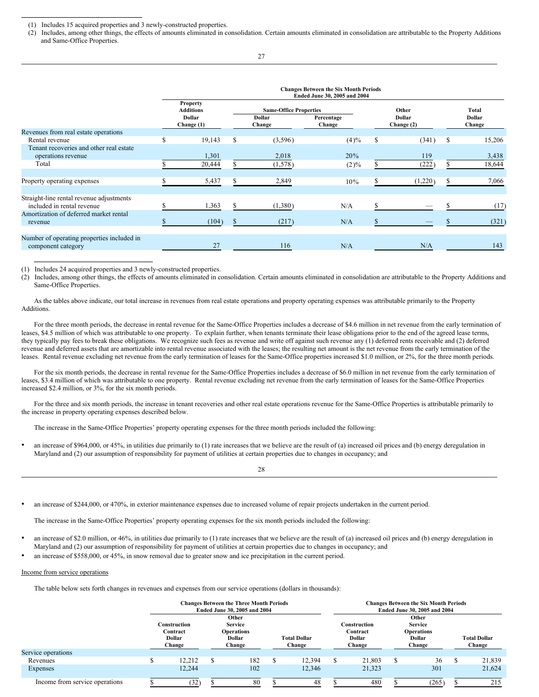(2) Includes, among other things, the effects of amounts eliminated in consolidation. Certain amounts eliminated in consolidation are attributable to the Property Additions and Same-Office Properties.

27

|                                            | <b>Changes Between the Six Month Periods</b><br>Ended June 30, 2005 and 2004 |            |    |                                         |            |     |                        |   |                        |  |  |  |
|--------------------------------------------|------------------------------------------------------------------------------|------------|----|-----------------------------------------|------------|-----|------------------------|---|------------------------|--|--|--|
|                                            | <b>Property</b><br>Additions<br><b>Dollar</b>                                |            |    | <b>Same-Office Properties</b><br>Dollar | Percentage |     | Other<br><b>Dollar</b> |   | Total<br><b>Dollar</b> |  |  |  |
|                                            |                                                                              | Change (1) |    | Change                                  | Change     |     | Change (2)             |   | Change                 |  |  |  |
| Revenues from real estate operations       |                                                                              |            |    |                                         |            |     |                        |   |                        |  |  |  |
| Rental revenue                             | S                                                                            | 19,143     | N. | (3,596)                                 | $(4)\%$    | \$. | (341)                  | S | 15,206                 |  |  |  |
| Tenant recoveries and other real estate    |                                                                              |            |    |                                         |            |     |                        |   |                        |  |  |  |
| operations revenue                         |                                                                              | 1,301      |    | 2,018                                   | 20%        |     | 119                    |   | 3,438                  |  |  |  |
| Total                                      |                                                                              | 20,444     |    | (1,578)                                 | $(2)\%$    |     | (222)                  |   | 18,644                 |  |  |  |
|                                            |                                                                              |            |    |                                         |            |     |                        |   |                        |  |  |  |
| Property operating expenses                |                                                                              | 5,437      |    | 2,849                                   | 10%        |     | (1,220)                |   | 7,066                  |  |  |  |
|                                            |                                                                              |            |    |                                         |            |     |                        |   |                        |  |  |  |
| Straight-line rental revenue adjustments   |                                                                              |            |    |                                         |            |     |                        |   |                        |  |  |  |
| included in rental revenue                 |                                                                              | 1,363      |    | (1,380)                                 | N/A        |     |                        |   | (17)                   |  |  |  |
| Amortization of deferred market rental     |                                                                              |            |    |                                         |            |     |                        |   |                        |  |  |  |
| revenue                                    |                                                                              | (104)      |    | (217)                                   | N/A        |     |                        |   | (321)                  |  |  |  |
|                                            |                                                                              |            |    |                                         |            |     |                        |   |                        |  |  |  |
| Number of operating properties included in |                                                                              |            |    |                                         |            |     |                        |   |                        |  |  |  |
| component category                         |                                                                              | 27         |    | 116                                     | N/A        |     | N/A                    |   | 143                    |  |  |  |

(1) Includes 24 acquired properties and 3 newly-constructed properties.

(2) Includes, among other things, the effects of amounts eliminated in consolidation. Certain amounts eliminated in consolidation are attributable to the Property Additions and Same-Office Properties.

As the tables above indicate, our total increase in revenues from real estate operations and property operating expenses was attributable primarily to the Property Additions.

For the three month periods, the decrease in rental revenue for the Same-Office Properties includes a decrease of \$4.6 million in net revenue from the early termination of leases, \$4.5 million of which was attributable to one property. To explain further, when tenants terminate their lease obligations prior to the end of the agreed lease terms, they typically pay fees to break these obligations. We recognize such fees as revenue and write off against such revenue any (1) deferred rents receivable and (2) deferred revenue and deferred assets that are amortizable into rental revenue associated with the leases; the resulting net amount is the net revenue from the early termination of the leases. Rental revenue excluding net revenue from the early termination of leases for the Same-Office properties increased \$1.0 million, or 2%, for the three month periods.

For the six month periods, the decrease in rental revenue for the Same-Office Properties includes a decrease of \$6.0 million in net revenue from the early termination of leases, \$3.4 million of which was attributable to one property. Rental revenue excluding net revenue from the early termination of leases for the Same-Office Properties increased \$2.4 million, or 3%, for the six month periods.

For the three and six month periods, the increase in tenant recoveries and other real estate operations revenue for the Same-Office Properties is attributable primarily to the increase in property operating expenses described below.

The increase in the Same-Office Properties' property operating expenses for the three month periods included the following:

an increase of \$964,000, or 45%, in utilities due primarily to (1) rate increases that we believe are the result of (a) increased oil prices and (b) energy deregulation in Maryland and (2) our assumption of responsibility for payment of utilities at certain properties due to changes in occupancy; and

28

• an increase of \$244,000, or 470%, in exterior maintenance expenses due to increased volume of repair projects undertaken in the current period.

The increase in the Same-Office Properties' property operating expenses for the six month periods included the following:

- an increase of \$2.0 million, or 46%, in utilities due primarily to (1) rate increases that we believe are the result of (a) increased oil prices and (b) energy deregulation in Maryland and (2) our assumption of responsibility for payment of utilities at certain properties due to changes in occupancy; and
- an increase of \$558,000, or 45%, in snow removal due to greater snow and ice precipitation in the current period.

### Income from service operations

The table below sets forth changes in revenues and expenses from our service operations (dollars in thousands):

|                                |                                                     | <b>Changes Between the Three Month Periods</b><br>Ended June 30, 2005 and 2004 |                               | <b>Changes Between the Six Month Periods</b><br>Ended June 30, 2005 and 2004 |                                                     |   |                                                                  |          |                               |  |
|--------------------------------|-----------------------------------------------------|--------------------------------------------------------------------------------|-------------------------------|------------------------------------------------------------------------------|-----------------------------------------------------|---|------------------------------------------------------------------|----------|-------------------------------|--|
|                                | Construction<br>Contract<br><b>Dollar</b><br>Change | Other<br><b>Service</b><br><b>Operations</b><br><b>Dollar</b><br>Change        | <b>Total Dollar</b><br>Change |                                                                              | Construction<br>Contract<br><b>Dollar</b><br>Change |   | Other<br><b>Service</b><br><b>Operations</b><br>Dollar<br>Change |          | <b>Total Dollar</b><br>Change |  |
| Service operations             |                                                     |                                                                                |                               |                                                                              |                                                     |   |                                                                  |          |                               |  |
| Revenues                       | 12.212                                              | 182                                                                            | 12.394                        | <sup>\$</sup>                                                                | 21,803                                              | S | 36                                                               | <b>S</b> | 21,839                        |  |
| Expenses                       | 12.244                                              | 102                                                                            | 12,346                        |                                                                              | 21,323                                              |   | 301                                                              |          | 21,624                        |  |
| Income from service operations | (32)                                                | 80                                                                             | 48                            |                                                                              | 480                                                 |   | (265)                                                            |          | 215                           |  |

<sup>(1)</sup> Includes 15 acquired properties and 3 newly-constructed properties.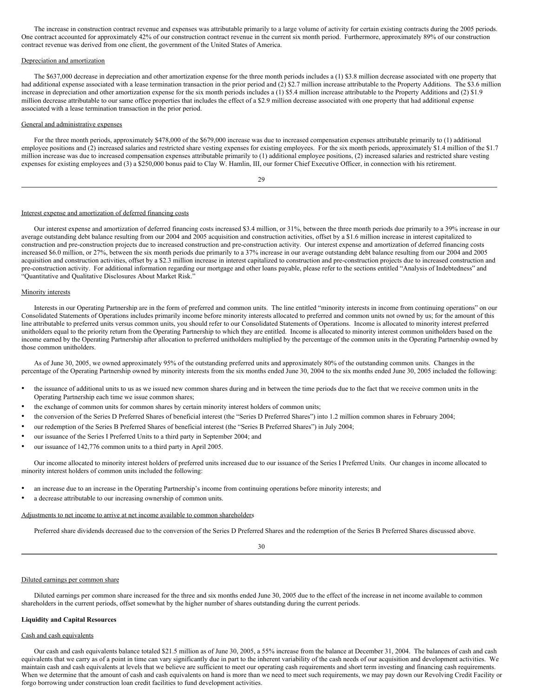The increase in construction contract revenue and expenses was attributable primarily to a large volume of activity for certain existing contracts during the 2005 periods. One contract accounted for approximately 42% of our construction contract revenue in the current six month period. Furthermore, approximately 89% of our construction contract revenue was derived from one client, the government of the United States of America.

### Depreciation and amortization

The \$637,000 decrease in depreciation and other amortization expense for the three month periods includes a (1) \$3.8 million decrease associated with one property that had additional expense associated with a lease termination transaction in the prior period and (2) \$2.7 million increase attributable to the Property Additions. The \$3.6 million increase in depreciation and other amortization expense for the six month periods includes a (1) \$5.4 million increase attributable to the Property Additions and (2) \$1.9 million decrease attributable to our same office properties that includes the effect of a \$2.9 million decrease associated with one property that had additional expense associated with a lease termination transaction in the prior period.

#### General and administrative expenses

For the three month periods, approximately \$478,000 of the \$679,000 increase was due to increased compensation expenses attributable primarily to (1) additional employee positions and (2) increased salaries and restricted share vesting expenses for existing employees. For the six month periods, approximately \$1.4 million of the \$1.7 million increase was due to increased compensation expenses attributable primarily to (1) additional employee positions, (2) increased salaries and restricted share vesting expenses for existing employees and (3) a \$250,000 bonus paid to Clay W. Hamlin, III, our former Chief Executive Officer, in connection with his retirement.

29

#### Interest expense and amortization of deferred financing costs

Our interest expense and amortization of deferred financing costs increased \$3.4 million, or 31%, between the three month periods due primarily to a 39% increase in our average outstanding debt balance resulting from our 2004 and 2005 acquisition and construction activities, offset by a \$1.6 million increase in interest capitalized to construction and pre-construction projects due to increased construction and pre-construction activity. Our interest expense and amortization of deferred financing costs increased \$6.0 million, or 27%, between the six month periods due primarily to a 37% increase in our average outstanding debt balance resulting from our 2004 and 2005 acquisition and construction activities, offset by a \$2.3 million increase in interest capitalized to construction and pre-construction projects due to increased construction and pre-construction activity. For additional information regarding our mortgage and other loans payable, please refer to the sections entitled "Analysis of Indebtedness" and "Quantitative and Qualitative Disclosures About Market Risk."

#### **Minority interests**

Interests in our Operating Partnership are in the form of preferred and common units. The line entitled "minority interests in income from continuing operations" on our Consolidated Statements of Operations includes primarily income before minority interests allocated to preferred and common units not owned by us; for the amount of this line attributable to preferred units versus common units, you should refer to our Consolidated Statements of Operations. Income is allocated to minority interest preferred unitholders equal to the priority return from the Operating Partnership to which they are entitled. Income is allocated to minority interest common unitholders based on the income earned by the Operating Partnership after allocation to preferred unitholders multiplied by the percentage of the common units in the Operating Partnership owned by those common unitholders.

As of June 30, 2005, we owned approximately 95% of the outstanding preferred units and approximately 80% of the outstanding common units. Changes in the percentage of the Operating Partnership owned by minority interests from the six months ended June 30, 2004 to the six months ended June 30, 2005 included the following:

- the issuance of additional units to us as we issued new common shares during and in between the time periods due to the fact that we receive common units in the Operating Partnership each time we issue common shares;
- the exchange of common units for common shares by certain minority interest holders of common units;
- the conversion of the Series D Preferred Shares of beneficial interest (the "Series D Preferred Shares") into 1.2 million common shares in February 2004;
- our redemption of the Series B Preferred Shares of beneficial interest (the "Series B Preferred Shares") in July 2004;
- our issuance of the Series I Preferred Units to a third party in September 2004; and
- our issuance of 142,776 common units to a third party in April 2005.

Our income allocated to minority interest holders of preferred units increased due to our issuance of the Series I Preferred Units. Our changes in income allocated to minority interest holders of common units included the following:

- an increase due to an increase in the Operating Partnership's income from continuing operations before minority interests; and
- a decrease attributable to our increasing ownership of common units.

### Adjustments to net income to arrive at net income available to common shareholders

Preferred share dividends decreased due to the conversion of the Series D Preferred Shares and the redemption of the Series B Preferred Shares discussed above.

30

#### Diluted earnings per common share

Diluted earnings per common share increased for the three and six months ended June 30, 2005 due to the effect of the increase in net income available to common shareholders in the current periods, offset somewhat by the higher number of shares outstanding during the current periods.

### **Liquidity and Capital Resources**

#### Cash and cash equivalents

Our cash and cash equivalents balance totaled \$21.5 million as of June 30, 2005, a 55% increase from the balance at December 31, 2004. The balances of cash and cash equivalents that we carry as of a point in time can vary significantly due in part to the inherent variability of the cash needs of our acquisition and development activities. We maintain cash and cash equivalents at levels that we believe are sufficient to meet our operating cash requirements and short term investing and financing cash requirements. When we determine that the amount of cash and cash equivalents on hand is more than we need to meet such requirements, we may pay down our Revolving Credit Facility or forgo borrowing under construction loan credit facilities to fund development activities.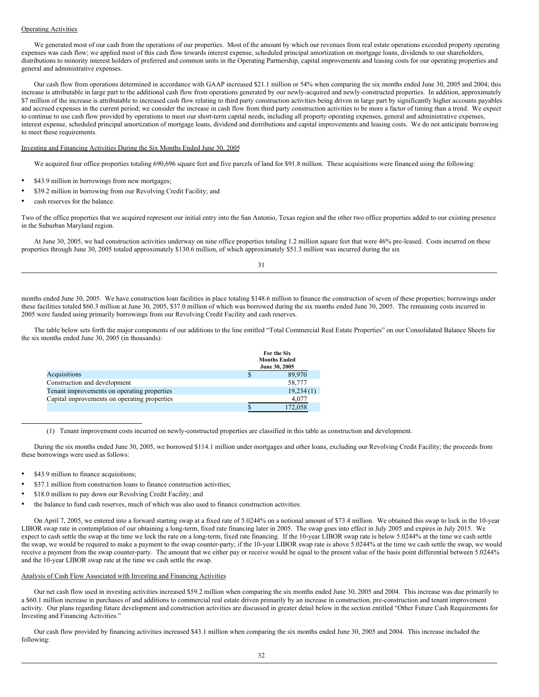### Operating Activities

We generated most of our cash from the operations of our properties. Most of the amount by which our revenues from real estate operations exceeded property operating expenses was cash flow; we applied most of this cash flow towards interest expense, scheduled principal amortization on mortgage loans, dividends to our shareholders, distributions to minority interest holders of preferred and common units in the Operating Partnership, capital improvements and leasing costs for our operating properties and general and administrative expenses.

Our cash flow from operations determined in accordance with GAAP increased \$21.1 million or 54% when comparing the six months ended June 30, 2005 and 2004; this increase is attributable in large part to the additional cash flow from operations generated by our newly-acquired and newly-constructed properties. In addition, approximately \$7 million of the increase is attributable to increased cash flow relating to third party construction activities being driven in large part by significantly higher accounts payables and accrued expenses in the current period; we consider the increase in cash flow from third party construction activities to be more a factor of timing than a trend. We expect to continue to use cash flow provided by operations to meet our short-term capital needs, including all property operating expenses, general and administrative expenses, interest expense, scheduled principal amortization of mortgage loans, dividend and distributions and capital improvements and leasing costs. We do not anticipate borrowing to meet these requirements.

### Investing and Financing Activities During the Six Months Ended June 30, 2005

We acquired four office properties totaling 690,696 square feet and five parcels of land for \$91.8 million. These acquisitions were financed using the following:

- \$43.9 million in borrowings from new mortgages;
- \$39.2 million in borrowing from our Revolving Credit Facility; and
- cash reserves for the balance.

Two of the office properties that we acquired represent our initial entry into the San Antonio, Texas region and the other two office properties added to our existing presence in the Suburban Maryland region.

At June 30, 2005, we had construction activities underway on nine office properties totaling 1.2 million square feet that were 46% pre-leased. Costs incurred on these properties through June 30, 2005 totaled approximately \$130.6 million, of which approximately \$51.3 million was incurred during the six

31

months ended June 30, 2005. We have construction loan facilities in place totaling \$148.6 million to finance the construction of seven of these properties; borrowings under these facilities totaled \$60.3 million at June 30, 2005, \$37.0 million of which was borrowed during the six months ended June 30, 2005. The remaining costs incurred in 2005 were funded using primarily borrowings from our Revolving Credit Facility and cash reserves.

The table below sets forth the major components of our additions to the line entitled "Total Commercial Real Estate Properties" on our Consolidated Balance Sheets for the six months ended June 30, 2005 (in thousands):

|                                              | For the Six<br><b>Months Ended</b><br>June 30, 2005 |
|----------------------------------------------|-----------------------------------------------------|
| Acquisitions                                 | 89,970                                              |
| Construction and development                 | 58,777                                              |
| Tenant improvements on operating properties  | 19,234(1)                                           |
| Capital improvements on operating properties | 4,077                                               |
|                                              | 172,058                                             |

(1) Tenant improvement costs incurred on newly-constructed properties are classified in this table as construction and development.

During the six months ended June 30, 2005, we borrowed \$114.1 million under mortgages and other loans, excluding our Revolving Credit Facility; the proceeds from these borrowings were used as follows:

- \$43.9 million to finance acquisitions;
- \$37.1 million from construction loans to finance construction activities;
- \$18.0 million to pay down our Revolving Credit Facility; and
- the balance to fund cash reserves, much of which was also used to finance construction activities.

On April 7, 2005, we entered into a forward starting swap at a fixed rate of 5.0244% on a notional amount of \$73.4 million. We obtained this swap to lock in the 10-year LIBOR swap rate in contemplation of our obtaining a long-term, fixed rate financing later in 2005. The swap goes into effect in July 2005 and expires in July 2015. We expect to cash settle the swap at the time we lock the rate on a long-term, fixed rate financing. If the 10-year LIBOR swap rate is below 5.0244% at the time we cash settle the swap, we would be required to make a payment to the swap counter-party; if the 10-year LIBOR swap rate is above 5.0244% at the time we cash settle the swap, we would receive a payment from the swap counter-party. The amount that we either pay or receive would be equal to the present value of the basis point differential between 5.0244% and the 10-year LIBOR swap rate at the time we cash settle the swap.

#### Analysis of Cash Flow Associated with Investing and Financing Activities

Our net cash flow used in investing activities increased \$59.2 million when comparing the six months ended June 30, 2005 and 2004. This increase was due primarily to a \$60.1 million increase in purchases of and additions to commercial real estate driven primarily by an increase in construction, pre-construction and tenant improvement activity. Our plans regarding future development and construction activities are discussed in greater detail below in the section entitled "Other Future Cash Requirements for Investing and Financing Activities."

Our cash flow provided by financing activities increased \$43.1 million when comparing the six months ended June 30, 2005 and 2004. This increase included the following: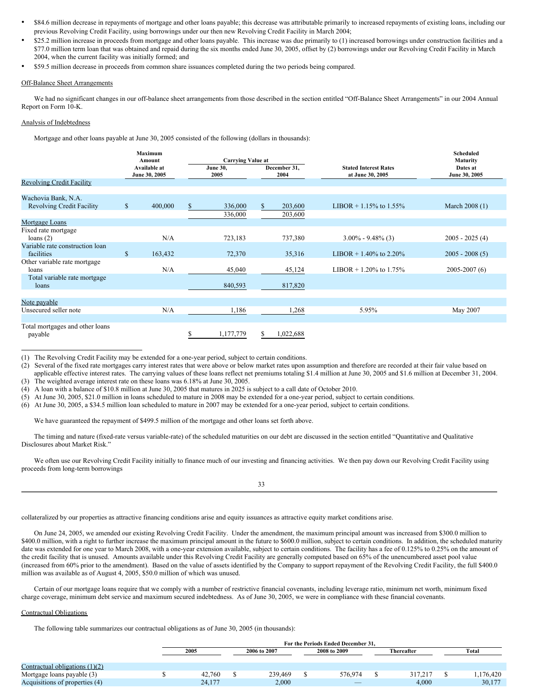- \$84.6 million decrease in repayments of mortgage and other loans payable; this decrease was attributable primarily to increased repayments of existing loans, including our previous Revolving Credit Facility, using borrowings under our then new Revolving Credit Facility in March 2004;
- \$25.2 million increase in proceeds from mortgage and other loans payable. This increase was due primarily to (1) increased borrowings under construction facilities and a \$77.0 million term loan that was obtained and repaid during the six months ended June 30, 2005, offset by (2) borrowings under our Revolving Credit Facility in March 2004, when the current facility was initially formed; and
- \$59.5 million decrease in proceeds from common share issuances completed during the two periods being compared.

### Off-Balance Sheet Arrangements

We had no significant changes in our off-balance sheet arrangements from those described in the section entitled "Off-Balance Sheet Arrangements" in our 2004 Annual Report on Form 10-K.

### Analysis of Indebtedness

Mortgage and other loans payable at June 30, 2005 consisted of the following (dollars in thousands):

|                                  |              | <b>Maximum</b><br>Amount      |              | <b>Carrying Value at</b> |     |                      |                                                  | <b>Scheduled</b><br><b>Maturity</b> |
|----------------------------------|--------------|-------------------------------|--------------|--------------------------|-----|----------------------|--------------------------------------------------|-------------------------------------|
|                                  |              | Available at<br>June 30, 2005 |              | <b>June 30,</b><br>2005  |     | December 31,<br>2004 | <b>Stated Interest Rates</b><br>at June 30, 2005 | Dates at<br>June 30, 2005           |
| <b>Revolving Credit Facility</b> |              |                               |              |                          |     |                      |                                                  |                                     |
| Wachovia Bank, N.A.              |              |                               |              |                          |     |                      |                                                  |                                     |
| <b>Revolving Credit Facility</b> | $\mathbb{S}$ | 400,000                       | $\mathbb{S}$ | 336,000                  | \$. | 203,600              | LIBOR + 1.15% to 1.55%                           | March 2008 (1)                      |
|                                  |              |                               |              | 336,000                  |     | 203,600              |                                                  |                                     |
| Mortgage Loans                   |              |                               |              |                          |     |                      |                                                  |                                     |
| Fixed rate mortgage              |              |                               |              |                          |     |                      |                                                  |                                     |
| loans $(2)$                      |              | N/A                           |              | 723,183                  |     | 737,380              | $3.00\% - 9.48\%$ (3)                            | $2005 - 2025(4)$                    |
| Variable rate construction loan  |              |                               |              |                          |     |                      |                                                  |                                     |
| facilities                       | $\mathbb{S}$ | 163,432                       |              | 72,370                   |     | 35,316               | LIBOR + 1.40% to 2.20%                           | $2005 - 2008(5)$                    |
| Other variable rate mortgage     |              |                               |              |                          |     |                      |                                                  |                                     |
| loans                            |              | N/A                           |              | 45,040                   |     | 45,124               | LIBOR + 1.20% to 1.75%                           | $2005 - 2007(6)$                    |
| Total variable rate mortgage     |              |                               |              |                          |     |                      |                                                  |                                     |
| loans                            |              |                               |              | 840,593                  |     | 817,820              |                                                  |                                     |
|                                  |              |                               |              |                          |     |                      |                                                  |                                     |
| Note payable                     |              |                               |              |                          |     |                      |                                                  |                                     |
| Unsecured seller note            |              | N/A                           |              | 1,186                    |     | 1,268                | 5.95%                                            | May 2007                            |
|                                  |              |                               |              |                          |     |                      |                                                  |                                     |
| Total mortgages and other loans  |              |                               |              |                          |     |                      |                                                  |                                     |
| payable                          |              |                               | \$.          | 1,177,779                | S   | 1,022,688            |                                                  |                                     |

(1) The Revolving Credit Facility may be extended for a one-year period, subject to certain conditions.

(2) Several of the fixed rate mortgages carry interest rates that were above or below market rates upon assumption and therefore are recorded at their fair value based on applicable effective interest rates. The carrying values of these loans reflect net premiums totaling \$1.4 million at June 30, 2005 and \$1.6 million at December 31, 2004.

(3) The weighted average interest rate on these loans was 6.18% at June 30, 2005.

(4) A loan with a balance of \$10.8 million at June 30, 2005 that matures in 2025 is subject to a call date of October 2010.

(5) At June 30, 2005, \$21.0 million in loans scheduled to mature in 2008 may be extended for a one-year period, subject to certain conditions.

(6) At June 30, 2005, a \$34.5 million loan scheduled to mature in 2007 may be extended for a one-year period, subject to certain conditions.

We have guaranteed the repayment of \$499.5 million of the mortgage and other loans set forth above.

The timing and nature (fixed-rate versus variable-rate) of the scheduled maturities on our debt are discussed in the section entitled "Quantitative and Qualitative Disclosures about Market Risk."

We often use our Revolving Credit Facility initially to finance much of our investing and financing activities. We then pay down our Revolving Credit Facility using proceeds from long-term borrowings

collateralized by our properties as attractive financing conditions arise and equity issuances as attractive equity market conditions arise.

On June 24, 2005, we amended our existing Revolving Credit Facility. Under the amendment, the maximum principal amount was increased from \$300.0 million to \$400.0 million, with a right to further increase the maximum principal amount in the future to \$600.0 million, subject to certain conditions. In addition, the scheduled maturity date was extended for one year to March 2008, with a one-year extension available, subject to certain conditions. The facility has a fee of 0.125% to 0.25% on the amount of the credit facility that is unused. Amounts available under this Revolving Credit Facility are generally computed based on 65% of the unencumbered asset pool value (increased from 60% prior to the amendment). Based on the value of assets identified by the Company to support repayment of the Revolving Credit Facility, the full \$400.0 million was available as of August 4, 2005, \$50.0 million of which was unused.

Certain of our mortgage loans require that we comply with a number of restrictive financial covenants, including leverage ratio, minimum net worth, minimum fixed charge coverage, minimum debt service and maximum secured indebtedness. As of June 30, 2005, we were in compliance with these financial covenants.

### Contractual Obligations

The following table summarizes our contractual obligations as of June 30, 2005 (in thousands):

|                                  | For the Periods Ended December 31. |  |              |  |                                 |                   |         |  |          |  |  |  |  |
|----------------------------------|------------------------------------|--|--------------|--|---------------------------------|-------------------|---------|--|----------|--|--|--|--|
|                                  | 2005                               |  | 2006 to 2007 |  | 2008 to 2009                    | <b>Thereafter</b> |         |  | Total    |  |  |  |  |
|                                  |                                    |  |              |  |                                 |                   |         |  |          |  |  |  |  |
| Contractual obligations $(1)(2)$ |                                    |  |              |  |                                 |                   |         |  |          |  |  |  |  |
| Mortgage loans payable (3)       | 42,760                             |  | 239.469      |  | 576,974                         |                   | 317,217 |  | ,176,420 |  |  |  |  |
| Acquisitions of properties (4)   | 24.177                             |  | 2,000        |  | $\hspace{0.1mm}-\hspace{0.1mm}$ |                   | 4.000   |  | 30,177   |  |  |  |  |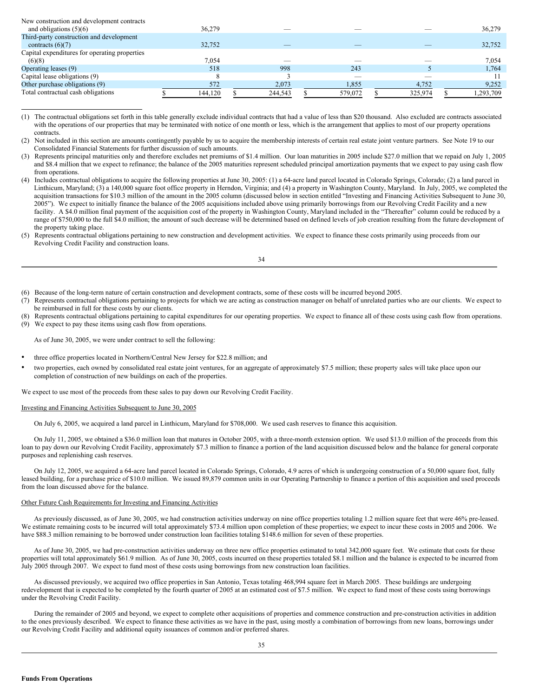| New construction and development contracts    |         |         |         |         |          |
|-----------------------------------------------|---------|---------|---------|---------|----------|
| and obligations $(5)(6)$                      | 36,279  |         |         |         | 36,279   |
| Third-party construction and development      |         |         |         |         |          |
| contracts $(6)(7)$                            | 32,752  |         |         |         | 32,752   |
| Capital expenditures for operating properties |         |         |         |         |          |
| (6)(8)                                        | 7,054   |         |         |         | 7.054    |
| Operating leases (9)                          | 518     | 998     | 243     |         | 1,764    |
| Capital lease obligations (9)                 |         |         | __      |         |          |
| Other purchase obligations (9)                | 572     | 2,073   | 1,855   | 4,752   | 9,252    |
| Total contractual cash obligations            | 144,120 | 244,543 | 579,072 | 325,974 | .293,709 |

(1) The contractual obligations set forth in this table generally exclude individual contracts that had a value of less than \$20 thousand. Also excluded are contracts associated with the operations of our properties that may be terminated with notice of one month or less, which is the arrangement that applies to most of our property operations contracts.

(2) Not included in this section are amounts contingently payable by us to acquire the membership interests of certain real estate joint venture partners. See Note 19 to our Consolidated Financial Statements for further discussion of such amounts.

(3) Represents principal maturities only and therefore excludes net premiums of \$1.4 million. Our loan maturities in 2005 include \$27.0 million that we repaid on July 1, 2005 and \$8.4 million that we expect to refinance; the balance of the 2005 maturities represent scheduled principal amortization payments that we expect to pay using cash flow from operations.

(4) Includes contractual obligations to acquire the following properties at June 30, 2005: (1) a 64-acre land parcel located in Colorado Springs, Colorado; (2) a land parcel in Linthicum, Maryland; (3) a 140,000 square foot office property in Herndon, Virginia; and (4) a property in Washington County, Maryland. In July, 2005, we completed the acquisition transactions for \$10.3 million of the amount in the 2005 column (discussed below in section entitled "Investing and Financing Activities Subsequent to June 30, 2005"). We expect to initially finance the balance of the 2005 acquisitions included above using primarily borrowings from our Revolving Credit Facility and a new facility. A \$4.0 million final payment of the acquisition cost of the property in Washington County, Maryland included in the "Thereafter" column could be reduced by a range of \$750,000 to the full \$4.0 million; the amount of such decrease will be determined based on defined levels of job creation resulting from the future development of the property taking place.

(5) Represents contractual obligations pertaining to new construction and development activities. We expect to finance these costs primarily using proceeds from our Revolving Credit Facility and construction loans.

34

- (6) Because of the long-term nature of certain construction and development contracts, some of these costs will be incurred beyond 2005.
- (7) Represents contractual obligations pertaining to projects for which we are acting as construction manager on behalf of unrelated parties who are our clients. We expect to be reimbursed in full for these costs by our clients.
- (8) Represents contractual obligations pertaining to capital expenditures for our operating properties. We expect to finance all of these costs using cash flow from operations. (9) We expect to pay these items using cash flow from operations.

As of June 30, 2005, we were under contract to sell the following:

- three office properties located in Northern/Central New Jersey for \$22.8 million; and
- two properties, each owned by consolidated real estate joint ventures, for an aggregate of approximately \$7.5 million; these property sales will take place upon our completion of construction of new buildings on each of the properties.

We expect to use most of the proceeds from these sales to pay down our Revolving Credit Facility.

### Investing and Financing Activities Subsequent to June 30, 2005

On July 6, 2005, we acquired a land parcel in Linthicum, Maryland for \$708,000. We used cash reserves to finance this acquisition.

On July 11, 2005, we obtained a \$36.0 million loan that matures in October 2005, with a three-month extension option. We used \$13.0 million of the proceeds from this loan to pay down our Revolving Credit Facility, approximately \$7.3 million to finance a portion of the land acquisition discussed below and the balance for general corporate purposes and replenishing cash reserves.

On July 12, 2005, we acquired a 64-acre land parcel located in Colorado Springs, Colorado, 4.9 acres of which is undergoing construction of a 50,000 square foot, fully leased building, for a purchase price of \$10.0 million. We issued 89,879 common units in our Operating Partnership to finance a portion of this acquisition and used proceeds from the loan discussed above for the balance.

#### Other Future Cash Requirements for Investing and Financing Activities

As previously discussed, as of June 30, 2005, we had construction activities underway on nine office properties totaling 1.2 million square feet that were 46% pre-leased. We estimate remaining costs to be incurred will total approximately \$73.4 million upon completion of these properties; we expect to incur these costs in 2005 and 2006. We have \$88.3 million remaining to be borrowed under construction loan facilities totaling \$148.6 million for seven of these properties.

As of June 30, 2005, we had pre-construction activities underway on three new office properties estimated to total 342,000 square feet. We estimate that costs for these properties will total approximately \$61.9 million. As of June 30, 2005, costs incurred on these properties totaled \$8.1 million and the balance is expected to be incurred from July 2005 through 2007. We expect to fund most of these costs using borrowings from new construction loan facilities.

As discussed previously, we acquired two office properties in San Antonio, Texas totaling 468,994 square feet in March 2005. These buildings are undergoing redevelopment that is expected to be completed by the fourth quarter of 2005 at an estimated cost of \$7.5 million. We expect to fund most of these costs using borrowings under the Revolving Credit Facility.

During the remainder of 2005 and beyond, we expect to complete other acquisitions of properties and commence construction and pre-construction activities in addition to the ones previously described. We expect to finance these activities as we have in the past, using mostly a combination of borrowings from new loans, borrowings under our Revolving Credit Facility and additional equity issuances of common and/or preferred shares.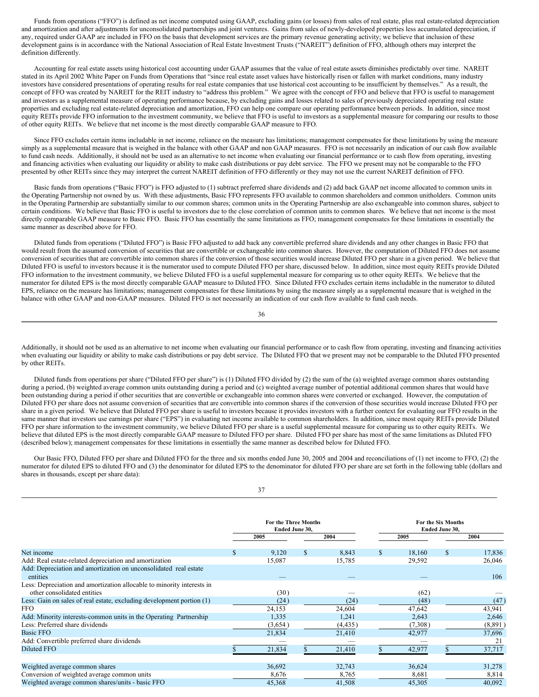Funds from operations ("FFO") is defined as net income computed using GAAP, excluding gains (or losses) from sales of real estate, plus real estate-related depreciation and amortization and after adjustments for unconsolidated partnerships and joint ventures. Gains from sales of newly-developed properties less accumulated depreciation, if any, required under GAAP are included in FFO on the basis that development services are the primary revenue generating activity; we believe that inclusion of these development gains is in accordance with the National Association of Real Estate Investment Trusts ("NAREIT") definition of FFO, although others may interpret the definition differently.

Accounting for real estate assets using historical cost accounting under GAAP assumes that the value of real estate assets diminishes predictably over time. NAREIT stated in its April 2002 White Paper on Funds from Operations that "since real estate asset values have historically risen or fallen with market conditions, many industry investors have considered presentations of operating results for real estate companies that use historical cost accounting to be insufficient by themselves." As a result, the concept of FFO was created by NAREIT for the REIT industry to "address this problem." We agree with the concept of FFO and believe that FFO is useful to management and investors as a supplemental measure of operating performance because, by excluding gains and losses related to sales of previously depreciated operating real estate properties and excluding real estate-related depreciation and amortization, FFO can help one compare our operating performance between periods. In addition, since most equity REITs provide FFO information to the investment community, we believe that FFO is useful to investors as a supplemental measure for comparing our results to those of other equity REITs. We believe that net income is the most directly comparable GAAP measure to FFO.

Since FFO excludes certain items includable in net income, reliance on the measure has limitations; management compensates for these limitations by using the measure simply as a supplemental measure that is weighed in the balance with other GAAP and non GAAP measures. FFO is not necessarily an indication of our cash flow available to fund cash needs. Additionally, it should not be used as an alternative to net income when evaluating our financial performance or to cash flow from operating, investing and financing activities when evaluating our liquidity or ability to make cash distributions or pay debt service. The FFO we present may not be comparable to the FFO presented by other REITs since they may interpret the current NAREIT definition of FFO differently or they may not use the current NAREIT definition of FFO.

Basic funds from operations ("Basic FFO") is FFO adjusted to (1) subtract preferred share dividends and (2) add back GAAP net income allocated to common units in the Operating Partnership not owned by us. With these adjustments, Basic FFO represents FFO available to common shareholders and common unitholders. Common units in the Operating Partnership are substantially similar to our common shares; common units in the Operating Partnership are also exchangeable into common shares, subject to certain conditions. We believe that Basic FFO is useful to investors due to the close correlation of common units to common shares. We believe that net income is the most directly comparable GAAP measure to Basic FFO. Basic FFO has essentially the same limitations as FFO; management compensates for these limitations in essentially the same manner as described above for FFO.

Diluted funds from operations ("Diluted FFO") is Basic FFO adjusted to add back any convertible preferred share dividends and any other changes in Basic FFO that would result from the assumed conversion of securities that are convertible or exchangeable into common shares. However, the computation of Diluted FFO does not assume conversion of securities that are convertible into common shares if the conversion of those securities would increase Diluted FFO per share in a given period. We believe that Diluted FFO is useful to investors because it is the numerator used to compute Diluted FFO per share, discussed below. In addition, since most equity REITs provide Diluted FFO information to the investment community, we believe Diluted FFO is a useful supplemental measure for comparing us to other equity REITs. We believe that the numerator for diluted EPS is the most directly comparable GAAP measure to Diluted FFO. Since Diluted FFO excludes certain items includable in the numerator to diluted EPS, reliance on the measure has limitations; management compensates for these limitations by using the measure simply as a supplemental measure that is weighed in the balance with other GAAP and non-GAAP measures. Diluted FFO is not necessarily an indication of our cash flow available to fund cash needs.

36

Additionally, it should not be used as an alternative to net income when evaluating our financial performance or to cash flow from operating, investing and financing activities when evaluating our liquidity or ability to make cash distributions or pay debt service. The Diluted FFO that we present may not be comparable to the Diluted FFO presented by other REITs.

Diluted funds from operations per share ("Diluted FFO per share") is (1) Diluted FFO divided by (2) the sum of the (a) weighted average common shares outstanding during a period, (b) weighted average common units outstanding during a period and (c) weighted average number of potential additional common shares that would have been outstanding during a period if other securities that are convertible or exchangeable into common shares were converted or exchanged. However, the computation of Diluted FFO per share does not assume conversion of securities that are convertible into common shares if the conversion of those securities would increase Diluted FFO per share in a given period. We believe that Diluted FFO per share is useful to investors because it provides investors with a further context for evaluating our FFO results in the same manner that investors use earnings per share ("EPS") in evaluating net income available to common shareholders. In addition, since most equity REITs provide Diluted FFO per share information to the investment community, we believe Diluted FFO per share is a useful supplemental measure for comparing us to other equity REITs. We believe that diluted EPS is the most directly comparable GAAP measure to Diluted FFO per share. Diluted FFO per share has most of the same limitations as Diluted FFO (described below); management compensates for these limitations in essentially the same manner as described below for Diluted FFO.

Our Basic FFO, Diluted FFO per share and Diluted FFO for the three and six months ended June 30, 2005 and 2004 and reconciliations of (1) net income to FFO, (2) the numerator for diluted EPS to diluted FFO and (3) the denominator for diluted EPS to the denominator for diluted FFO per share are set forth in the following table (dollars and shares in thousands, except per share data):

| I<br>I<br>×<br>۰. |  |
|-------------------|--|

|                                                                                                       | <b>For the Three Months</b><br>Ended June 30, |         |      |          | For the Six Months<br>Ended June 30, |         |    |         |  |
|-------------------------------------------------------------------------------------------------------|-----------------------------------------------|---------|------|----------|--------------------------------------|---------|----|---------|--|
|                                                                                                       |                                               | 2005    | 2004 |          | 2005                                 |         |    | 2004    |  |
| Net income                                                                                            |                                               | 9,120   | \$   | 8,843    | S                                    | 18,160  | \$ | 17,836  |  |
| Add: Real estate-related depreciation and amortization                                                |                                               | 15,087  |      | 15,785   |                                      | 29,592  |    | 26,046  |  |
| Add: Depreciation and amortization on unconsolidated real estate<br>entities                          |                                               |         |      |          |                                      |         |    | 106     |  |
| Less: Depreciation and amortization allocable to minority interests in<br>other consolidated entities |                                               | (30)    |      |          |                                      | (62)    |    |         |  |
| Less: Gain on sales of real estate, excluding development portion (1)                                 |                                               | (24)    |      | (24)     |                                      | (48)    |    | (47)    |  |
| <b>FFO</b>                                                                                            |                                               | 24,153  |      | 24,604   |                                      | 47,642  |    | 43,941  |  |
| Add: Minority interests-common units in the Operating Partnership                                     |                                               | 1,335   |      | 1,241    |                                      | 2,643   |    | 2,646   |  |
| Less: Preferred share dividends                                                                       |                                               | (3,654) |      | (4, 435) |                                      | (7,308) |    | (8,891) |  |
| <b>Basic FFO</b>                                                                                      |                                               | 21,834  |      | 21,410   |                                      | 42,977  |    | 37,696  |  |
| Add: Convertible preferred share dividends                                                            |                                               |         |      |          |                                      |         |    | 21      |  |
| Diluted FFO                                                                                           |                                               | 21,834  |      | 21,410   |                                      | 42,977  |    | 37,717  |  |
| Weighted average common shares                                                                        |                                               | 36,692  |      | 32,743   |                                      | 36,624  |    | 31,278  |  |
| Conversion of weighted average common units                                                           |                                               | 8,676   |      | 8,765    |                                      | 8,681   |    | 8,814   |  |
| Weighted average common shares/units - basic FFO                                                      |                                               | 45,368  |      | 41,508   |                                      | 45,305  |    | 40,092  |  |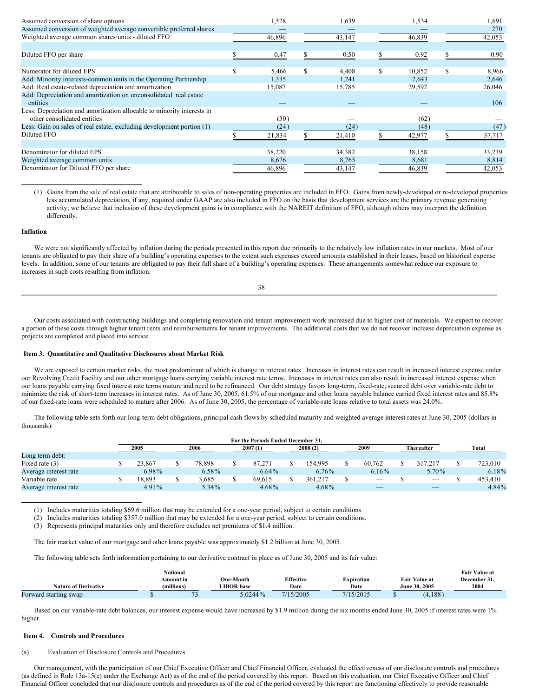| Assumed conversion of share options                                    | 1,528       |   | 1,639  |   | 1,534  |   | 1,691  |
|------------------------------------------------------------------------|-------------|---|--------|---|--------|---|--------|
| Assumed conversion of weighted average convertible preferred shares    |             |   |        |   |        |   | 270    |
| Weighted average common shares/units - diluted FFO                     | 46,896      |   | 43,147 |   | 46,839 |   | 42,053 |
|                                                                        |             |   |        |   |        |   |        |
| Diluted FFO per share                                                  | 0.47        |   | 0.50   |   | 0.92   |   | 0.90   |
|                                                                        |             |   |        |   |        |   |        |
| Numerator for diluted EPS                                              | \$<br>5,466 | S | 4,408  | S | 10,852 | S | 8,966  |
| Add: Minority interests-common units in the Operating Partnership      | 1,335       |   | 1,241  |   | 2,643  |   | 2,646  |
| Add: Real estate-related depreciation and amortization                 | 15,087      |   | 15,785 |   | 29,592 |   | 26,046 |
| Add: Depreciation and amortization on unconsolidated real estate       |             |   |        |   |        |   |        |
| entities                                                               |             |   |        |   |        |   | 106    |
| Less: Depreciation and amortization allocable to minority interests in |             |   |        |   |        |   |        |
| other consolidated entities                                            | (30)        |   |        |   | (62)   |   |        |
| Less: Gain on sales of real estate, excluding development portion (1)  | (24)        |   | (24)   |   | (48)   |   | (47)   |
| Diluted FFO                                                            | 21,834      |   | 21,410 |   | 42,977 |   | 37,717 |
|                                                                        |             |   |        |   |        |   |        |
| Denominator for diluted EPS                                            | 38,220      |   | 34,382 |   | 38,158 |   | 33,239 |
| Weighted average common units                                          | 8,676       |   | 8,765  |   | 8,681  |   | 8,814  |
| Denominator for Diluted FFO per share                                  | 46,896      |   | 43,147 |   | 46,839 |   | 42,053 |

(1) Gains from the sale of real estate that are attributable to sales of non-operating properties are included in FFO. Gains from newly-developed or re-developed properties less accumulated depreciation, if any, required under GAAP are also included in FFO on the basis that development services are the primary revenue generating activity; we believe that inclusion of these development gains is in compliance with the NAREIT definition of FFO, although others may interpret the definition differently.

### **Inflation**

We were not significantly affected by inflation during the periods presented in this report due primarily to the relatively low inflation rates in our markets. Most of our tenants are obligated to pay their share of a building's operating expenses to the extent such expenses exceed amounts established in their leases, based on historical expense levels. In addition, some of our tenants are obligated to pay their full share of a building's operating expenses. These arrangements somewhat reduce our exposure to increases in such costs resulting from inflation.

Our costs associated with constructing buildings and completing renovation and tenant improvement work increased due to higher cost of materials. We expect to recover a portion of these costs through higher tenant rents and reimbursements for tenant improvements. The additional costs that we do not recover increase depreciation expense as projects are completed and placed into service.

### <span id="page-21-0"></span>**Item 3. Quantitative and Qualitative Disclosures about Market Risk**

We are exposed to certain market risks, the most predominant of which is change in interest rates. Increases in interest rates can result in increased interest expense under our Revolving Credit Facility and our other mortgage loans carrying variable interest rate terms. Increases in interest rates can also result in increased interest expense when our loans payable carrying fixed interest rate terms mature and need to be refinanced. Our debt strategy favors long-term, fixed-rate, secured debt over variable-rate debt to minimize the risk of short-term increases in interest rates. As of June 30, 2005, 61.5% of our mortgage and other loans payable balance carried fixed interest rates and 85.8% of our fixed-rate loans were scheduled to mature after 2006. As of June 30, 2005, the percentage of variable-rate loans relative to total assets was 24.0%.

The following table sets forth our long-term debt obligations, principal cash flows by scheduled maturity and weighted average interest rates at June 30, 2005 (dollars in thousands):

|                       | For the Periods Ended December 31. |          |  |        |  |         |  |          |                          |  |            |         |
|-----------------------|------------------------------------|----------|--|--------|--|---------|--|----------|--------------------------|--|------------|---------|
|                       |                                    | 2005     |  | 2006   |  | 2007(1) |  | 2008(2)  | 2009                     |  | Thereafter | Total   |
| Long term debt:       |                                    |          |  |        |  |         |  |          |                          |  |            |         |
| Fixed rate (3)        |                                    | 23.867   |  | 78.898 |  | 87.271  |  | 154.995  | 60.762                   |  | 317.217    | 723,010 |
| Average interest rate |                                    | 6.98%    |  | 6.58%  |  | 6.64%   |  | $6.76\%$ | 6.16%                    |  | 5.70%      | 6.18%   |
| Variable rate         |                                    | 18.893   |  | 3.685  |  | 69.615  |  | 361.217  | $\overline{\phantom{a}}$ |  |            | 453.410 |
| Average interest rate |                                    | $4.91\%$ |  | 5.34%  |  | 4.68%   |  | $4.68\%$ |                          |  |            | 4.84%   |

(1) Includes maturities totaling \$69.6 million that may be extended for a one-year period, subject to certain conditions.

(2) Includes maturities totaling \$357.0 million that may be extended for a one-year period, subject to certain conditions.

(3) Represents principal maturities only and therefore excludes net premiums of \$1.4 million.

The fair market value of our mortgage and other loans payable was approximately \$1.2 billion at June 30, 2005.

The following table sets forth information pertaining to our derivative contract in place as of June 30, 2005 and its fair value:

| <b>Nature of Derivative</b> | Notional<br>Amount in<br>(millions) | <b>One-Month</b><br><b>IBOR</b> base | <b>Effective</b><br>Date | Expiration<br>Date | <b>Fair Value at</b><br><b>June 30, 2005</b> | <b>Fair Value at</b><br>December 31.<br>2004 |
|-----------------------------|-------------------------------------|--------------------------------------|--------------------------|--------------------|----------------------------------------------|----------------------------------------------|
|                             |                                     |                                      |                          |                    |                                              |                                              |
| Forward starting swap       | $\mathbf{a}$                        | 5.0244%                              | 7/15/2005                | 7/15/2015          | 4.188                                        | _                                            |

Based on our variable-rate debt balances, our interest expense would have increased by \$1.9 million during the six months ended June 30, 2005 if interest rates were 1% higher.

### <span id="page-21-1"></span>**Item 4. Controls and Procedures**

(a) Evaluation of Disclosure Controls and Procedures

Our management, with the participation of our Chief Executive Officer and Chief Financial Officer, evaluated the effectiveness of our disclosure controls and procedures (as defined in Rule 13a-15(e) under the Exchange Act) as of the end of the period covered by this report. Based on this evaluation, our Chief Executive Officer and Chief Financial Officer concluded that our disclosure controls and procedures as of the end of the period covered by this report are functioning effectively to provide reasonable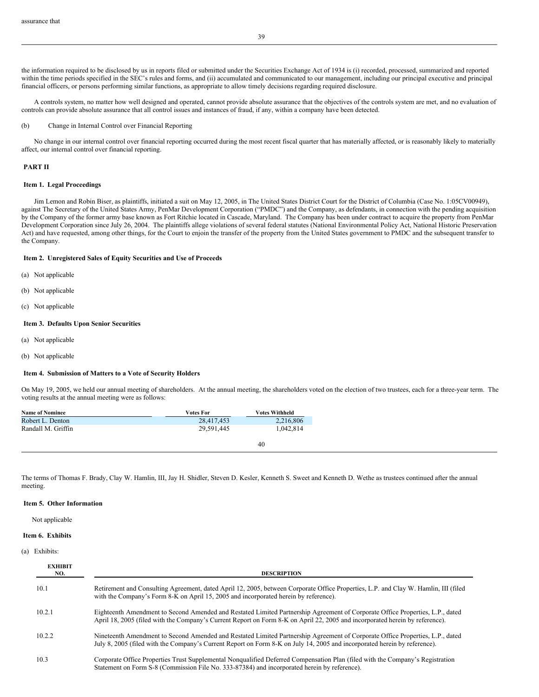the information required to be disclosed by us in reports filed or submitted under the Securities Exchange Act of 1934 is (i) recorded, processed, summarized and reported within the time periods specified in the SEC's rules and forms, and (ii) accumulated and communicated to our management, including our principal executive and principal financial officers, or persons performing similar functions, as appropriate to allow timely decisions regarding required disclosure.

A controls system, no matter how well designed and operated, cannot provide absolute assurance that the objectives of the controls system are met, and no evaluation of controls can provide absolute assurance that all control issues and instances of fraud, if any, within a company have been detected.

### (b) Change in Internal Control over Financial Reporting

No change in our internal control over financial reporting occurred during the most recent fiscal quarter that has materially affected, or is reasonably likely to materially affect, our internal control over financial reporting.

#### <span id="page-22-0"></span>**PART II**

#### <span id="page-22-1"></span>**Item 1. Legal Proceedings**

Jim Lemon and Robin Biser, as plaintiffs, initiated a suit on May 12, 2005, in The United States District Court for the District of Columbia (Case No. 1:05CV00949), against The Secretary of the United States Army, PenMar Development Corporation ("PMDC") and the Company, as defendants, in connection with the pending acquisition by the Company of the former army base known as Fort Ritchie located in Cascade, Maryland. The Company has been under contract to acquire the property from PenMar Development Corporation since July 26, 2004. The plaintiffs allege violations of several federal statutes (National Environmental Policy Act, National Historic Preservation Act) and have requested, among other things, for the Court to enjoin the transfer of the property from the United States government to PMDC and the subsequent transfer to the Company.

### <span id="page-22-2"></span>**Item 2. Unregistered Sales of Equity Securities and Use of Proceeds**

- (a) Not applicable
- (b) Not applicable
- (c) Not applicable

### <span id="page-22-3"></span>**Item 3. Defaults Upon Senior Securities**

- (a) Not applicable
- (b) Not applicable

### <span id="page-22-4"></span>**Item 4. Submission of Matters to a Vote of Security Holders**

On May 19, 2005, we held our annual meeting of shareholders. At the annual meeting, the shareholders voted on the election of two trustees, each for a three-year term. The voting results at the annual meeting were as follows:

| <b>Name of Nominee</b> | <b>Votes For</b> | <b>Votes Withheld</b> |  |  |
|------------------------|------------------|-----------------------|--|--|
| Robert L. Denton       | 28.417.453       | 2,216,806             |  |  |
| Randall M. Griffin     | 29.591.445       | 1.042.814             |  |  |
|                        |                  |                       |  |  |
|                        |                  | 40                    |  |  |

The terms of Thomas F. Brady, Clay W. Hamlin, III, Jay H. Shidler, Steven D. Kesler, Kenneth S. Sweet and Kenneth D. Wethe as trustees continued after the annual meeting.

#### <span id="page-22-5"></span>**Item 5. Other Information**

Not applicable

#### <span id="page-22-6"></span>**Item 6. Exhibits**

(a) Exhibits:

| <b>EXHIBIT</b><br>NO. | <b>DESCRIPTION</b>                                                                                                                                                                                                                                            |
|-----------------------|---------------------------------------------------------------------------------------------------------------------------------------------------------------------------------------------------------------------------------------------------------------|
| 10.1                  | Retirement and Consulting Agreement, dated April 12, 2005, between Corporate Office Properties, L.P. and Clay W. Hamlin, III (filed<br>with the Company's Form 8-K on April 15, 2005 and incorporated herein by reference).                                   |
| 10.2.1                | Eighteenth Amendment to Second Amended and Restated Limited Partnership Agreement of Corporate Office Properties, L.P., dated<br>April 18, 2005 (filed with the Company's Current Report on Form 8-K on April 22, 2005 and incorporated herein by reference). |
| 10.2.2                | Nineteenth Amendment to Second Amended and Restated Limited Partnership Agreement of Corporate Office Properties, L.P., dated<br>July 8, 2005 (filed with the Company's Current Report on Form 8-K on July 14, 2005 and incorporated herein by reference).    |
| 10.3                  | Corporate Office Properties Trust Supplemental Nonqualified Deferred Compensation Plan (filed with the Company's Registration<br>Statement on Form S-8 (Commission File No. 333-87384) and incorporated herein by reference).                                 |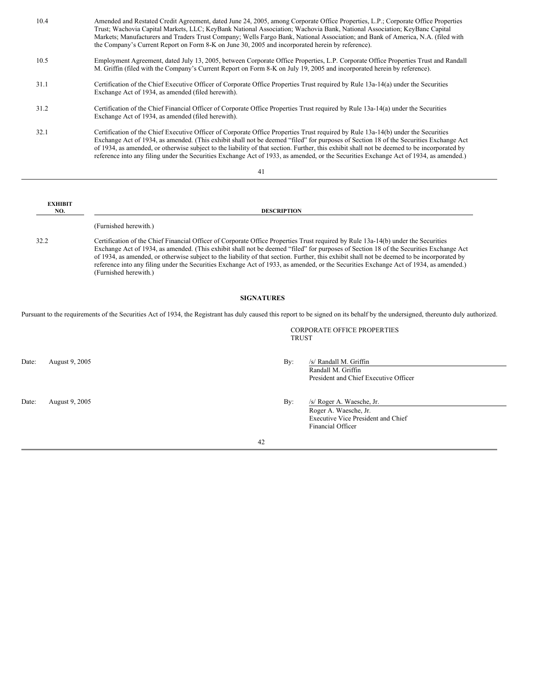| 10.4 | Amended and Restated Credit Agreement, dated June 24, 2005, among Corporate Office Properties, L.P.; Corporate Office Properties<br>Trust; Wachovia Capital Markets, LLC; KeyBank National Association; Wachovia Bank, National Association; KeyBanc Capital<br>Markets; Manufacturers and Traders Trust Company; Wells Fargo Bank, National Association; and Bank of America, N.A. (filed with<br>the Company's Current Report on Form 8-K on June 30, 2005 and incorporated herein by reference).                                                                |
|------|--------------------------------------------------------------------------------------------------------------------------------------------------------------------------------------------------------------------------------------------------------------------------------------------------------------------------------------------------------------------------------------------------------------------------------------------------------------------------------------------------------------------------------------------------------------------|
| 10.5 | Employment Agreement, dated July 13, 2005, between Corporate Office Properties, L.P. Corporate Office Properties Trust and Randall<br>M. Griffin (filed with the Company's Current Report on Form 8-K on July 19, 2005 and incorporated herein by reference).                                                                                                                                                                                                                                                                                                      |
| 31.1 | Certification of the Chief Executive Officer of Corporate Office Properties Trust required by Rule 13a-14(a) under the Securities<br>Exchange Act of 1934, as amended (filed herewith).                                                                                                                                                                                                                                                                                                                                                                            |
| 31.2 | Certification of the Chief Financial Officer of Corporate Office Properties Trust required by Rule 13a-14(a) under the Securities<br>Exchange Act of 1934, as amended (filed herewith).                                                                                                                                                                                                                                                                                                                                                                            |
| 32.1 | Certification of the Chief Executive Officer of Corporate Office Properties Trust required by Rule 13a-14(b) under the Securities<br>Exchange Act of 1934, as amended. (This exhibit shall not be deemed "filed" for purposes of Section 18 of the Securities Exchange Act<br>of 1934, as amended, or otherwise subject to the liability of that section. Further, this exhibit shall not be deemed to be incorporated by<br>reference into any filing under the Securities Exchange Act of 1933, as amended, or the Securities Exchange Act of 1934, as amended.) |
|      | 41                                                                                                                                                                                                                                                                                                                                                                                                                                                                                                                                                                 |

<span id="page-23-0"></span>

|       | <b>EXHIBIT</b><br>NO.<br><b>DESCRIPTION</b> |                                                                                                                                                                                                                                                                                                                                                                                                                                                                                                                                                                    |                   |                                                                                                                                                                                  |  |  |  |
|-------|---------------------------------------------|--------------------------------------------------------------------------------------------------------------------------------------------------------------------------------------------------------------------------------------------------------------------------------------------------------------------------------------------------------------------------------------------------------------------------------------------------------------------------------------------------------------------------------------------------------------------|-------------------|----------------------------------------------------------------------------------------------------------------------------------------------------------------------------------|--|--|--|
|       |                                             | (Furnished herewith.)                                                                                                                                                                                                                                                                                                                                                                                                                                                                                                                                              |                   |                                                                                                                                                                                  |  |  |  |
| 32.2  |                                             | Certification of the Chief Financial Officer of Corporate Office Properties Trust required by Rule 13a-14(b) under the Securities<br>Exchange Act of 1934, as amended. (This exhibit shall not be deemed "filed" for purposes of Section 18 of the Securities Exchange Act<br>of 1934, as amended, or otherwise subject to the liability of that section. Further, this exhibit shall not be deemed to be incorporated by<br>reference into any filing under the Securities Exchange Act of 1933, as amended, or the Securities Exchange Act of 1934, as amended.) |                   |                                                                                                                                                                                  |  |  |  |
|       |                                             |                                                                                                                                                                                                                                                                                                                                                                                                                                                                                                                                                                    | <b>SIGNATURES</b> |                                                                                                                                                                                  |  |  |  |
|       |                                             |                                                                                                                                                                                                                                                                                                                                                                                                                                                                                                                                                                    |                   | Pursuant to the requirements of the Securities Act of 1934, the Registrant has duly caused this report to be signed on its behalf by the undersigned, thereunto duly authorized. |  |  |  |
|       |                                             |                                                                                                                                                                                                                                                                                                                                                                                                                                                                                                                                                                    | <b>TRUST</b>      | <b>CORPORATE OFFICE PROPERTIES</b>                                                                                                                                               |  |  |  |
| Date: | August 9, 2005                              |                                                                                                                                                                                                                                                                                                                                                                                                                                                                                                                                                                    | By:               | /s/ Randall M. Griffin<br>Randall M. Griffin<br>President and Chief Executive Officer                                                                                            |  |  |  |
| Date: | August 9, 2005                              |                                                                                                                                                                                                                                                                                                                                                                                                                                                                                                                                                                    | $\mathbf{B}v$ :   | /s/ Roger A. Waesche, Jr.<br>Roger A. Waesche, Jr.<br>Executive Vice President and Chief                                                                                         |  |  |  |
|       |                                             |                                                                                                                                                                                                                                                                                                                                                                                                                                                                                                                                                                    | 42                | Financial Officer                                                                                                                                                                |  |  |  |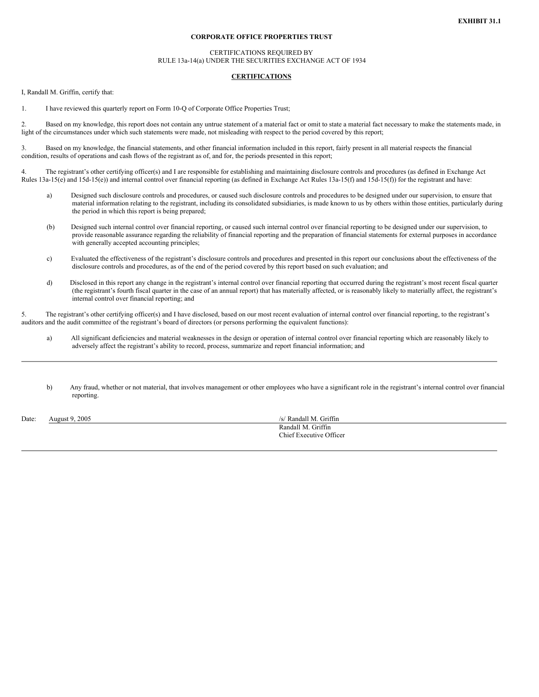### CERTIFICATIONS REQUIRED BY RULE 13a-14(a) UNDER THE SECURITIES EXCHANGE ACT OF 1934

### **CERTIFICATIONS**

I, Randall M. Griffin, certify that:

1. I have reviewed this quarterly report on Form 10-Q of Corporate Office Properties Trust;

2. Based on my knowledge, this report does not contain any untrue statement of a material fact or omit to state a material fact necessary to make the statements made, in light of the circumstances under which such statements were made, not misleading with respect to the period covered by this report;

3. Based on my knowledge, the financial statements, and other financial information included in this report, fairly present in all material respects the financial condition, results of operations and cash flows of the registrant as of, and for, the periods presented in this report;

4. The registrant's other certifying officer(s) and I are responsible for establishing and maintaining disclosure controls and procedures (as defined in Exchange Act Rules 13a-15(e) and 15d-15(e)) and internal control over financial reporting (as defined in Exchange Act Rules 13a-15(f) and 15d-15(f)) for the registrant and have:

- a) Designed such disclosure controls and procedures, or caused such disclosure controls and procedures to be designed under our supervision, to ensure that material information relating to the registrant, including its consolidated subsidiaries, is made known to us by others within those entities, particularly during the period in which this report is being prepared;
- (b) Designed such internal control over financial reporting, or caused such internal control over financial reporting to be designed under our supervision, to provide reasonable assurance regarding the reliability of financial reporting and the preparation of financial statements for external purposes in accordance with generally accepted accounting principles;
- c) Evaluated the effectiveness of the registrant's disclosure controls and procedures and presented in this report our conclusions about the effectiveness of the disclosure controls and procedures, as of the end of the period covered by this report based on such evaluation; and
- d) Disclosed in this report any change in the registrant's internal control over financial reporting that occurred during the registrant's most recent fiscal quarter (the registrant's fourth fiscal quarter in the case of an annual report) that has materially affected, or is reasonably likely to materially affect, the registrant's internal control over financial reporting; and

5. The registrant's other certifying officer(s) and I have disclosed, based on our most recent evaluation of internal control over financial reporting, to the registrant's auditors and the audit committee of the registrant's board of directors (or persons performing the equivalent functions):

- a) All significant deficiencies and material weaknesses in the design or operation of internal control over financial reporting which are reasonably likely to adversely affect the registrant's ability to record, process, summarize and report financial information; and
- b) Any fraud, whether or not material, that involves management or other employees who have a significant role in the registrant's internal control over financial reporting.

| Date: | <b>August 9, 2005</b> | /s/ Randall M. Griffin  |
|-------|-----------------------|-------------------------|
|       |                       | Randall M. Griffin      |
|       |                       | Chief Executive Officer |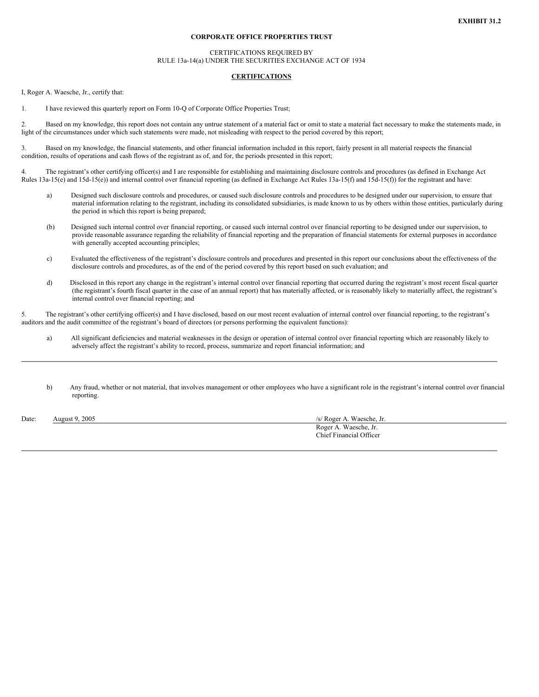### CERTIFICATIONS REQUIRED BY RULE 13a-14(a) UNDER THE SECURITIES EXCHANGE ACT OF 1934

### **CERTIFICATIONS**

I, Roger A. Waesche, Jr., certify that:

1. I have reviewed this quarterly report on Form 10-Q of Corporate Office Properties Trust;

2. Based on my knowledge, this report does not contain any untrue statement of a material fact or omit to state a material fact necessary to make the statements made, in light of the circumstances under which such statements were made, not misleading with respect to the period covered by this report;

3. Based on my knowledge, the financial statements, and other financial information included in this report, fairly present in all material respects the financial condition, results of operations and cash flows of the registrant as of, and for, the periods presented in this report;

4. The registrant's other certifying officer(s) and I are responsible for establishing and maintaining disclosure controls and procedures (as defined in Exchange Act Rules 13a-15(e) and 15d-15(e)) and internal control over financial reporting (as defined in Exchange Act Rules 13a-15(f) and 15d-15(f)) for the registrant and have:

- a) Designed such disclosure controls and procedures, or caused such disclosure controls and procedures to be designed under our supervision, to ensure that material information relating to the registrant, including its consolidated subsidiaries, is made known to us by others within those entities, particularly during the period in which this report is being prepared;
- (b) Designed such internal control over financial reporting, or caused such internal control over financial reporting to be designed under our supervision, to provide reasonable assurance regarding the reliability of financial reporting and the preparation of financial statements for external purposes in accordance with generally accepted accounting principles;
- c) Evaluated the effectiveness of the registrant's disclosure controls and procedures and presented in this report our conclusions about the effectiveness of the disclosure controls and procedures, as of the end of the period covered by this report based on such evaluation; and
- d) Disclosed in this report any change in the registrant's internal control over financial reporting that occurred during the registrant's most recent fiscal quarter (the registrant's fourth fiscal quarter in the case of an annual report) that has materially affected, or is reasonably likely to materially affect, the registrant's internal control over financial reporting; and

5. The registrant's other certifying officer(s) and I have disclosed, based on our most recent evaluation of internal control over financial reporting, to the registrant's auditors and the audit committee of the registrant's board of directors (or persons performing the equivalent functions):

- a) All significant deficiencies and material weaknesses in the design or operation of internal control over financial reporting which are reasonably likely to adversely affect the registrant's ability to record, process, summarize and report financial information; and
- b) Any fraud, whether or not material, that involves management or other employees who have a significant role in the registrant's internal control over financial reporting.

| Date:<br>August 9, 2005<br>/s/ Roger A. Waesche, Jr. |  |
|------------------------------------------------------|--|
| Roger A. Waesche, Jr.<br>Chief Financial Officer     |  |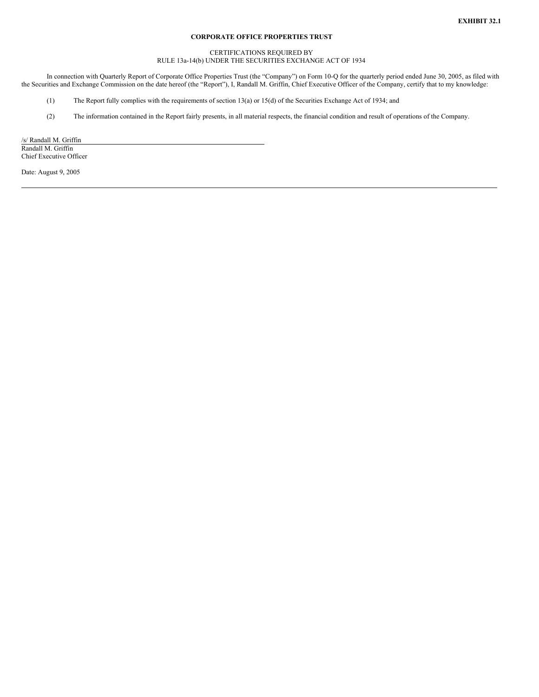# CERTIFICATIONS REQUIRED BY

## RULE 13a-14(b) UNDER THE SECURITIES EXCHANGE ACT OF 1934

In connection with Quarterly Report of Corporate Office Properties Trust (the "Company") on Form 10-Q for the quarterly period ended June 30, 2005, as filed with the Securities and Exchange Commission on the date hereof (the "Report"), I, Randall M. Griffin, Chief Executive Officer of the Company, certify that to my knowledge:

- (1) The Report fully complies with the requirements of section 13(a) or 15(d) of the Securities Exchange Act of 1934; and
- (2) The information contained in the Report fairly presents, in all material respects, the financial condition and result of operations of the Company.

/s/ Randall M. Griffin Randall M. Griffin Chief Executive Officer

Date: August 9, 2005